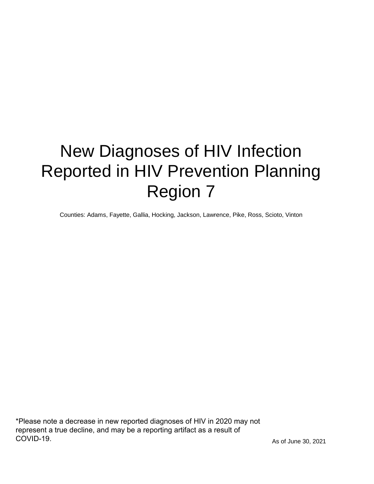# New Diagnoses of HIV Infection Reported in HIV Prevention Planning Region 7

Counties: Adams, Fayette, Gallia, Hocking, Jackson, Lawrence, Pike, Ross, Scioto, Vinton

\*Please note a decrease in new reported diagnoses of HIV in 2020 may not represent a true decline, and may be a reporting artifact as a result of COVID-19.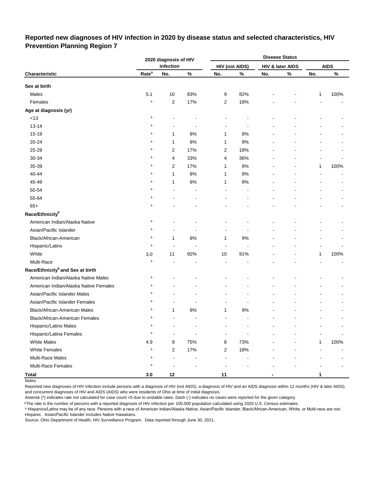## **Reported new diagnoses of HIV infection in 2020 by disease status and selected characteristics, HIV Prevention Planning Region 7**

|                                              |                   | 2020 diagnosis of HIV |                          |                | <b>Disease Status</b> |     |                  |              |             |  |  |
|----------------------------------------------|-------------------|-----------------------|--------------------------|----------------|-----------------------|-----|------------------|--------------|-------------|--|--|
|                                              |                   | infection             |                          |                | <b>HIV (not AIDS)</b> |     | HIV & later AIDS |              | <b>AIDS</b> |  |  |
| Characteristic                               | Rate <sup>a</sup> | No.                   | $\%$                     | No.            | %                     | No. | $\%$             | No.          | $\%$        |  |  |
| Sex at birth                                 |                   |                       |                          |                |                       |     |                  |              |             |  |  |
| Males                                        | 5.1               | 10                    | 83%                      | 9              | 82%                   |     |                  | 1            | 100%        |  |  |
| Females                                      | $\star$           | $\boldsymbol{2}$      | 17%                      | 2              | 18%                   |     |                  |              |             |  |  |
| Age at diagnosis (yr)                        |                   |                       |                          |                |                       |     |                  |              |             |  |  |
| $<13$                                        | $\star$           |                       |                          |                |                       |     |                  |              |             |  |  |
| $13 - 14$                                    |                   |                       |                          |                |                       |     |                  |              |             |  |  |
| 15-19                                        |                   | 1                     | 8%                       | 1              | 9%                    |     |                  |              |             |  |  |
| 20-24                                        |                   | $\mathbf{1}$          | 8%                       | 1              | 9%                    |     |                  |              |             |  |  |
| 25-29                                        |                   | 2                     | 17%                      | 2              | 18%                   |     |                  |              |             |  |  |
| 30-34                                        |                   | 4                     | 33%                      | 4              | 36%                   |     |                  |              |             |  |  |
| 35-39                                        |                   | $\overline{c}$        | 17%                      | 1              | $9\%$                 |     |                  | 1            | 100%        |  |  |
| 40-44                                        |                   | 1                     | 8%                       | 1              | 9%                    |     |                  |              |             |  |  |
| 45-49                                        |                   | 1                     | 8%                       | 1              | $9\%$                 |     |                  |              |             |  |  |
| 50-54                                        |                   |                       |                          |                |                       |     |                  |              |             |  |  |
| 55-64                                        |                   |                       |                          |                |                       |     |                  |              |             |  |  |
| $65+$                                        |                   |                       |                          |                |                       |     |                  |              |             |  |  |
| Race/Ethnicity <sup>b</sup>                  |                   |                       |                          |                |                       |     |                  |              |             |  |  |
| American Indian/Alaska Native                | $\star$           |                       |                          |                |                       |     |                  |              |             |  |  |
| Asian/Pacific Islander                       |                   |                       |                          |                |                       |     |                  |              |             |  |  |
| Black/African-American                       |                   | 1                     | 8%                       | 1              | $9\%$                 |     |                  |              |             |  |  |
| Hispanic/Latinx                              | $\ast$            | ä,                    | $\overline{\phantom{a}}$ | $\overline{a}$ | $\blacksquare$        |     |                  |              |             |  |  |
| White                                        | 3.0               | 11                    | 92%                      | 10             | 91%                   |     |                  | 1            | 100%        |  |  |
| Multi-Race                                   | $\star$           |                       |                          |                |                       |     |                  |              |             |  |  |
| Race/Ethnicity <sup>b</sup> and Sex at birth |                   |                       |                          |                |                       |     |                  |              |             |  |  |
| American Indian/Alaska Native Males          | $^\star$          |                       |                          |                |                       |     |                  |              |             |  |  |
| American Indian/Alaska Native Females        |                   |                       |                          |                |                       |     |                  |              |             |  |  |
| Asian/Pacific Islander Males                 |                   |                       |                          |                |                       |     |                  |              |             |  |  |
| Asian/Pacific Islander Females               |                   |                       |                          |                |                       |     |                  |              |             |  |  |
| Black/African-American Males                 |                   | 1                     | 8%                       | 1              | 9%                    |     |                  |              |             |  |  |
| Black/African-American Females               | $\star$           | ä,                    | $\overline{a}$           | $\overline{a}$ | $\overline{a}$        |     |                  |              |             |  |  |
| Hispanic/Latino Males                        | $^\star$          |                       |                          |                |                       |     |                  |              |             |  |  |
| Hispanic/Latina Females                      | $^\star$          | ۰                     |                          |                |                       |     |                  |              |             |  |  |
| <b>White Males</b>                           | 4.9               | 9                     | 75%                      | 8              | 73%                   |     |                  | $\mathbf{1}$ | 100%        |  |  |
| <b>White Females</b>                         | $\star$           | $\overline{c}$        | 17%                      | $\overline{c}$ | 18%                   |     |                  |              |             |  |  |
| Multi-Race Males                             | $\star$           | ÷,                    |                          |                |                       |     |                  |              |             |  |  |
| Multi-Race Females                           | $\star$           |                       |                          |                |                       |     |                  |              |             |  |  |
| <b>Total</b>                                 | 3.0               | $12\,$                |                          | 11             |                       |     |                  | 1            |             |  |  |

Notes:

Reported new diagnoses of HIV infection include persons with a diagnosis of HIV (not AIDS), a diagnosis of HIV and an AIDS diagnosis within 12 months (HIV & later AIDS), and concurrent diagnoses of HIV and AIDS (AIDS) who were residents of Ohio at time of initial diagnosis.

Asterisk (\*) indicates rate not calculated for case count <5 due to unstable rates. Dash (-) indicates no cases were reported for the given category.

<sup>a</sup>The rate is the number of persons with a reported diagnosis of HIV infection per 100,000 population calculated using 2020 U.S. Census estimates.

**b Hispanics/Latinx may be of any race. Persons with a race of American Indian/Alaska Native, Asian/Pacific Islander, Black/African-American, White, or Multi-race are not-**Hispanic. Asian/Pacific Islander includes Native Hawaiians.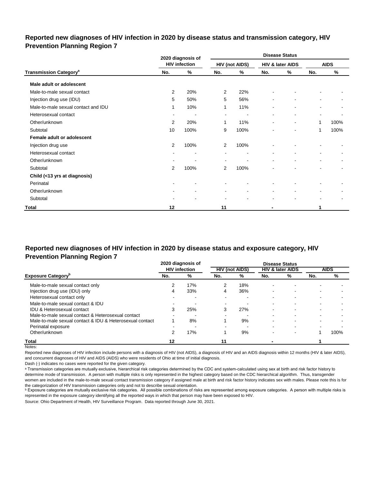## **Reported new diagnoses of HIV infection in 2020 by disease status and transmission category, HIV Prevention Planning Region 7**

|                                          |                          | 2020 diagnosis of        |                          |                       | <b>Disease Status</b>    |                  |                          |                          |  |
|------------------------------------------|--------------------------|--------------------------|--------------------------|-----------------------|--------------------------|------------------|--------------------------|--------------------------|--|
|                                          |                          | <b>HIV infection</b>     |                          | <b>HIV (not AIDS)</b> |                          | HIV & later AIDS |                          | <b>AIDS</b>              |  |
| <b>Transmission Category<sup>a</sup></b> | No.                      | %                        | No.                      | %                     | No.                      | %                | No.                      | %                        |  |
| Male adult or adolescent                 |                          |                          |                          |                       |                          |                  |                          |                          |  |
| Male-to-male sexual contact              | 2                        | 20%                      | 2                        | 22%                   |                          |                  |                          |                          |  |
| Injection drug use (IDU)                 | 5                        | 50%                      | 5                        | 56%                   |                          |                  | ۰                        |                          |  |
| Male-to-male sexual contact and IDU      | 1                        | 10%                      | 1                        | 11%                   |                          | ۰                |                          |                          |  |
| Heterosexual contact                     | $\sim$                   | $\blacksquare$           | $\blacksquare$           | $\sim$                | $\blacksquare$           | $\blacksquare$   | $\overline{\phantom{a}}$ |                          |  |
| Other/unknown                            | 2                        | 20%                      | 1                        | 11%                   | $\overline{\phantom{a}}$ | $\blacksquare$   | 1                        | 100%                     |  |
| Subtotal                                 | 10                       | 100%                     | 9                        | 100%                  |                          | $\blacksquare$   | 1                        | 100%                     |  |
| Female adult or adolescent               |                          |                          |                          |                       |                          |                  |                          |                          |  |
| Injection drug use                       | 2                        | 100%                     | $\overline{2}$           | 100%                  |                          |                  |                          |                          |  |
| Heterosexual contact                     |                          | ٠                        | $\overline{\phantom{a}}$ |                       | $\blacksquare$           | $\blacksquare$   | $\blacksquare$           |                          |  |
| Other/unknown                            | $\overline{\phantom{a}}$ | $\overline{\phantom{a}}$ | $\overline{\phantom{a}}$ |                       | $\overline{\phantom{a}}$ | $\blacksquare$   | $\overline{\phantom{a}}$ | $\overline{\phantom{a}}$ |  |
| Subtotal                                 | $\overline{2}$           | 100%                     | 2                        | 100%                  |                          |                  |                          |                          |  |
| Child (<13 yrs at diagnosis)             |                          |                          |                          |                       |                          |                  |                          |                          |  |
| Perinatal                                | ٠                        | $\blacksquare$           |                          |                       |                          |                  |                          |                          |  |
| Other/unknown                            | $\blacksquare$           | $\blacksquare$           | $\sim$                   | $\blacksquare$        | $\blacksquare$           | $\blacksquare$   | $\blacksquare$           |                          |  |
| Subtotal                                 |                          |                          |                          |                       |                          | ۰                | $\overline{\phantom{a}}$ |                          |  |
| <b>Total</b>                             | 12                       |                          | 11                       |                       |                          |                  | 1                        |                          |  |

# **Reported new diagnoses of HIV infection in 2020 by disease status and exposure category, HIV Prevention Planning Region 7**

|                                                          |     | 2020 diagnosis of    |      |                       |                          | <b>Disease Status</b>       |                          |                          |
|----------------------------------------------------------|-----|----------------------|------|-----------------------|--------------------------|-----------------------------|--------------------------|--------------------------|
|                                                          |     | <b>HIV</b> infection |      | <b>HIV (not AIDS)</b> |                          | <b>HIV &amp; later AIDS</b> |                          | <b>AIDS</b>              |
| <b>Exposure Category</b> <sup>P</sup>                    | No. | %                    | No.  | %                     | No.                      | %                           | No.                      | %                        |
| Male-to-male sexual contact only                         |     | 17%                  | 2    | 18%                   | -                        |                             |                          |                          |
| Injection drug use (IDU) only                            |     | 33%                  | 4    | 36%                   | ٠                        |                             |                          |                          |
| Heterosexual contact only                                |     |                      |      |                       | ٠                        |                             |                          |                          |
| Male-to-male sexual contact & IDU                        |     | -                    | $\,$ | -                     | $\overline{\phantom{0}}$ | -                           | $\overline{\phantom{0}}$ | $\overline{\phantom{0}}$ |
| IDU & Heterosexual contact                               | 3   | 25%                  | 3    | 27%                   | ٠                        | -                           |                          |                          |
| Male-to-male sexual contact & Heterosexual contact       |     |                      | -    |                       | ۰                        | -                           |                          |                          |
| Male-to-male sexual contact & IDU & Heterosexual contact |     | 8%                   |      | 9%                    | ٠                        | -                           |                          |                          |
| Perinatal exposure                                       |     |                      |      |                       |                          |                             |                          |                          |
| Other/unknown                                            |     | 17%                  |      | 9%                    |                          |                             |                          | 100%                     |
| Total                                                    | 12  |                      | 11   |                       |                          |                             |                          |                          |

Notes:

Reported new diagnoses of HIV infection include persons with a diagnosis of HIV (not AIDS), a diagnosis of HIV and an AIDS diagnosis within 12 months (HIV & later AIDS), and concurrent diagnoses of HIV and AIDS (AIDS) who were residents of Ohio at time of initial diagnosis.

Dash (-) indicates no cases were reported for the given category.

a Transmission categories are mutually exclusive, hierarchical risk categories determined by the CDC and system-calculated using sex at birth and risk factor history to determine mode of transmission. A person with multiple risks is only represented in the highest category based on the CDC hierarchical algorithm. Thus, transgender women are included in the male-to-male sexual contact transmission category if assigned male at birth and risk factor history indicates sex with males. Please note this is for the categorization of HIV transmission categories only and not to describe sexual orientation.

**b** Exposure categories are mutually exclusive risk categories. All possible combinations of risks are represented among exposure categories. A person with multiple risks is represented in the exposure category identifying all the reported ways in which that person may have been exposed to HIV.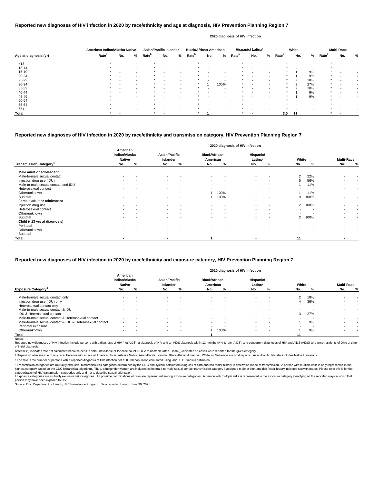|                       | American Indian/Alaska Native |                          |                          | <b>Asian/Pacific Islander</b> |                          |   | <b>Black/African-American</b> |     |                          |                   | Hispanic/Latinx <sup>a</sup> |   |                   | White |     |                   | <b>Multi-Race</b> |   |
|-----------------------|-------------------------------|--------------------------|--------------------------|-------------------------------|--------------------------|---|-------------------------------|-----|--------------------------|-------------------|------------------------------|---|-------------------|-------|-----|-------------------|-------------------|---|
| Age at diagnosis (yr) | Rate <sup>b</sup>             | No.                      | %                        | <b>Rate</b> <sup>b</sup>      | No.                      | % | Rate <sup>b</sup>             | No. | %                        | Rate <sup>b</sup> | No.                          | % | Rate <sup>b</sup> | No.   | %   | Rate <sup>b</sup> | No.               | % |
| < 13                  | $\star$                       | $\overline{\phantom{0}}$ | $\overline{\phantom{a}}$ |                               |                          |   |                               |     |                          | *                 |                              |   |                   |       |     |                   |                   |   |
| $13 - 14$             |                               |                          | $\sim$                   |                               | $\overline{\phantom{a}}$ |   |                               |     | $\overline{\phantom{a}}$ |                   |                              |   |                   |       |     |                   |                   |   |
| $15 - 19$             |                               | $\blacksquare$           | $\sim$                   |                               | $\sim$                   |   |                               |     | $\overline{\phantom{a}}$ | *                 |                              |   |                   |       | 9%  | $\star$           |                   |   |
| $20 - 24$             |                               |                          | $\sim$                   |                               |                          |   |                               |     | $\overline{\phantom{a}}$ | *                 |                              |   |                   |       | 9%  | $\star$           |                   |   |
| 25-29                 |                               | $\overline{\phantom{0}}$ | $\overline{\phantom{a}}$ |                               | $\overline{\phantom{a}}$ |   |                               |     |                          | *                 |                              |   |                   | ົ     | 18% | $\star$           |                   |   |
| 30-34                 |                               |                          | $\sim$                   |                               | $\overline{\phantom{a}}$ |   |                               |     | 100%                     |                   |                              |   |                   | 3     | 27% | $\star$           |                   |   |
| 35-39                 |                               | $\overline{\phantom{0}}$ | $\sim$                   |                               | $\overline{\phantom{a}}$ |   |                               |     | $\overline{\phantom{a}}$ |                   |                              |   | $\star$           | ົ     | 18% | $\star$           |                   |   |
| 40-44                 |                               |                          | $\overline{\phantom{a}}$ |                               |                          |   |                               |     |                          |                   |                              |   |                   |       | 9%  | $\star$           |                   |   |
| 45-49                 |                               |                          | $\overline{\phantom{a}}$ |                               | $\overline{\phantom{a}}$ |   |                               |     | -                        |                   |                              |   |                   |       | 9%  | $\star$           |                   |   |
| 50-54                 |                               |                          |                          |                               |                          |   |                               |     |                          |                   |                              |   |                   |       |     |                   |                   |   |
| 55-64                 |                               |                          | $\sim$                   |                               |                          |   |                               |     |                          |                   |                              |   |                   |       |     |                   |                   |   |
| $65+$                 |                               |                          | $\sim$                   |                               | $\overline{\phantom{a}}$ |   |                               |     | $\overline{\phantom{a}}$ | *                 |                              |   |                   |       |     | $\star$           |                   |   |
| <b>Total</b>          |                               |                          |                          |                               |                          |   |                               |     |                          | *                 |                              |   | 3.0               | -11   |     |                   |                   |   |

Reported new diagnoses of HIV infection include persons with a diagnosis of HIV (not AIDS), a diagnosis of HIV and an AIDS diagnosis within 12 months (HIV & later AIDS), and concurrent diagnoses of HIV and AIDS (AIDS) who of initial diagnosis.

|                                           |                                            |   |                                  |                          |                                   |                          | 2020 diagnosis of HIV infection  |                          |                          |      |                          |   |
|-------------------------------------------|--------------------------------------------|---|----------------------------------|--------------------------|-----------------------------------|--------------------------|----------------------------------|--------------------------|--------------------------|------|--------------------------|---|
|                                           | American<br>Indian/Alaska<br><b>Native</b> |   | <b>Asian/Pacific</b><br>Islander |                          | <b>Black/African-</b><br>American |                          | Hispanic/<br>Latinx <sup>a</sup> |                          | White                    |      | <b>Multi-Race</b>        |   |
| <b>Transmission Category</b> <sup>c</sup> | No.                                        | % | No.                              | %                        | No.                               | %                        | No.                              | %                        | No.                      | %    | No.                      | % |
| Male adult or adolescent                  |                                            |   |                                  |                          |                                   |                          |                                  |                          |                          |      |                          |   |
| Male-to-male sexual contact               | $\,$ $\,$                                  |   | $\sim$                           | $\overline{\phantom{a}}$ | $\sim$                            |                          | $\blacksquare$                   | $\overline{\phantom{a}}$ | 2                        | 22%  |                          |   |
| Injection drug use (IDU)                  |                                            |   | $\sim$                           | $\blacksquare$           | $\,$                              | $\overline{\phantom{a}}$ | $\blacksquare$                   | $\,$ $\,$                | 5                        | 56%  |                          |   |
| Male-to-male sexual contact and IDU       | $\sim$                                     |   | $\sim$                           | $\overline{\phantom{a}}$ | $\sim$                            | $\overline{\phantom{a}}$ | $\blacksquare$                   | $\blacksquare$           |                          | 11%  | $\blacksquare$           |   |
| Heterosexual contact                      | $\blacksquare$                             |   | $\sim$                           | $\overline{\phantom{a}}$ | $\sim$                            |                          | $\blacksquare$                   | $\,$ $\,$                |                          |      |                          |   |
| Other/unknown                             |                                            |   | $\sim$                           | $\overline{\phantom{a}}$ |                                   | 100%                     |                                  | $\,$ $\,$                |                          | 11%  |                          |   |
| Subtotal                                  | $\sim$                                     |   | $\sim$                           | $\overline{\phantom{a}}$ |                                   | 100%                     | $\overline{\phantom{0}}$         | $\overline{\phantom{a}}$ | 9                        | 100% | $\overline{\phantom{0}}$ |   |
| Female adult or adolescent                |                                            |   |                                  |                          |                                   |                          |                                  |                          |                          |      |                          |   |
| Injection drug use                        | $\,$                                       |   | $\sim$                           | $\overline{\phantom{a}}$ | $\sim$                            |                          | $\blacksquare$                   | $\,$ $\,$                | $\overline{2}$           | 100% |                          |   |
| Heterosexual contact                      | $\sim$                                     |   | $\sim$                           | $\overline{\phantom{a}}$ | $\sim$                            | $\blacksquare$           | $\blacksquare$                   | $\overline{\phantom{a}}$ |                          |      |                          |   |
| Other/unknown                             |                                            |   | $\sim$                           | $\overline{\phantom{a}}$ | $\blacksquare$                    | $\blacksquare$           | $\overline{\phantom{a}}$         | $\overline{\phantom{a}}$ |                          |      | $\,$                     |   |
| Subtotal                                  | $\overline{\phantom{0}}$                   |   | $\sim$                           |                          | $\sim$                            | $\overline{\phantom{a}}$ | $\blacksquare$                   | $\overline{\phantom{a}}$ | $\overline{2}$           | 100% | $\overline{\phantom{0}}$ |   |
| Child (<13 yrs at diagnosis)              |                                            |   |                                  |                          |                                   |                          |                                  |                          |                          |      |                          |   |
| Perinatal                                 |                                            |   |                                  |                          |                                   |                          |                                  |                          |                          |      |                          |   |
| Other/unknown                             | $\overline{\phantom{a}}$                   |   | $\sim$                           | $\overline{\phantom{a}}$ | $\sim$                            | $\overline{\phantom{a}}$ | $\blacksquare$                   | $\overline{\phantom{a}}$ | $\overline{\phantom{a}}$ |      | $\blacksquare$           |   |
| Subtotal                                  | $\,$ $\,$                                  |   | $\sim$                           |                          | $\blacksquare$                    | $\,$ $\,$                | $\blacksquare$                   | $\overline{\phantom{a}}$ |                          |      |                          |   |
| <b>Total</b>                              |                                            |   | $\overline{\phantom{a}}$         |                          |                                   |                          |                                  |                          | 11                       |      | ٠                        |   |

© Transmission categories are mutually exclusive, hierarchical risk categories determined by the CDC and system-calculated using sex at birth and risk factor history to determine mode of transmission. A person with multip highest category based on the CDC hierarchical algorithm. Thus, transgender women are included in the male-to-male sexual contact transmission category if assigned male at birth and risk factor history indicates sex with m categorization of HIV transmission categories only and not to describe sexual orientation.

#### **Reported new diagnoses of HIV infection in 2020 by race/ethnicity and age at diagnosis, HIV Prevention Planning Region 7**

#### **2020 diagnosis of HIV infection**

d Exposure categories are mutually exclusive risk categories. All possible combinations of risks are represented among exposure categories. A person with multiple risks is represented in the exposure category identifying a person may have been exposed to HIV.

Source: Ohio Department of Health, HIV Surveillance Program. Data reported through June 30, 2021.

## **Reported new diagnoses of HIV infection in 2020 by race/ethnicity and transmission category, HIV Prevention Planning Region 7**

|                                                          |                                            |                          |                                  |                          |                                   |                          | 2020 diagnosis of HIV infection  |        |       |     |                   |                          |
|----------------------------------------------------------|--------------------------------------------|--------------------------|----------------------------------|--------------------------|-----------------------------------|--------------------------|----------------------------------|--------|-------|-----|-------------------|--------------------------|
|                                                          | American<br>Indian/Alaska<br><b>Native</b> |                          | <b>Asian/Pacific</b><br>Islander |                          | <b>Black/African-</b><br>American |                          | Hispanic/<br>Latinx <sup>a</sup> |        | White |     | <b>Multi-Race</b> |                          |
| <b>Exposure Category</b> <sup>°</sup>                    | No.                                        | %                        | No.                              | %                        | No.                               | %                        | No.                              | %      | No.   |     | No.               | %                        |
| Male-to-male sexual contact only                         |                                            |                          |                                  |                          |                                   |                          | $\overline{\phantom{0}}$         |        | 2     | 18% |                   |                          |
| Injection drug use (IDU) only                            | $\overline{\phantom{0}}$                   |                          | $\sim$                           | $\overline{\phantom{a}}$ | $\sim$                            | . .                      | $\overline{\phantom{0}}$         |        |       | 36% |                   |                          |
| Heterosexual contact only                                | $\overline{\phantom{a}}$                   | $\overline{\phantom{a}}$ | $\sim$                           | $\,$ $\,$                | $\sim$                            | $\overline{\phantom{a}}$ | $\overline{\phantom{0}}$         |        |       |     |                   |                          |
| Male-to-male sexual contact & IDU                        |                                            |                          | $\sim$                           | $\overline{\phantom{0}}$ |                                   |                          | $\overline{\phantom{0}}$         |        |       |     |                   |                          |
| <b>IDU &amp; Heterosexual contact</b>                    |                                            |                          | $\sim$                           |                          |                                   |                          | $\overline{\phantom{0}}$         |        | 3     | 27% |                   |                          |
| Male-to-male sexual contact & Heterosexual contact       |                                            |                          | $\sim$                           | $\overline{\phantom{0}}$ | $\sim$                            |                          | $\overline{\phantom{0}}$         |        |       |     |                   | $\overline{\phantom{a}}$ |
| Male-to-male sexual contact & IDU & Heterosexual contact | $\overline{\phantom{a}}$                   |                          |                                  | . .                      |                                   | . .                      | $\overline{\phantom{0}}$         |        |       | 9%  |                   |                          |
| Perinatal exposure                                       | $\sim$                                     | . .                      | $\sim$                           | $\,$ $\,$                | . .                               | -                        | $\,$ $\,$                        | $\sim$ |       |     |                   |                          |
| Other/unknown                                            | $\,$ $\,$                                  |                          | $\sim$                           | . .                      |                                   | 100%                     | $\,$ $\,$                        |        |       | 9%  |                   |                          |
| Total                                                    |                                            |                          |                                  |                          |                                   |                          |                                  |        |       |     |                   |                          |
| Notes:                                                   |                                            |                          |                                  |                          |                                   |                          |                                  |        |       |     |                   |                          |

## **Reported new diagnoses of HIV infection in 2020 by race/ethnicity and exposure category, HIV Prevention Planning Region 7**

Asterisk (\*) indicates rate not calculated because census data unavailable or for case count <5 due to unstable rates. Dash (-) indicates no cases were reported for the given category.

a Hispanics/Latinx may be of any race. Persons with a race of American Indian/Alaska Native, Asian/Pacific Islander, Black/African-American, White, or Multi-race are not-Hispanic. Asian/Pacific Islander includes Native Haw

ᵇ The rate is the number of persons with a reported diagnosis of HIV infection per 100,000 population calculated using 2020 U.S. Census estimates.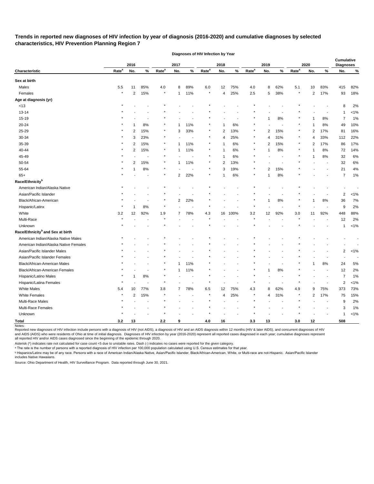# **Trends in reported new diagnoses of HIV infection by year of diagnosis (2016-2020) and cumulative diagnoses by selected characteristics, HIV Prevention Planning Region 7**

|                                              |                   | 2016           |                |                   | 2017           |                          |                   | 2018           |      |                   | 2019           |                          | 2020              |                |                | <b>Cumulative</b><br><b>Diagnoses</b> |         |
|----------------------------------------------|-------------------|----------------|----------------|-------------------|----------------|--------------------------|-------------------|----------------|------|-------------------|----------------|--------------------------|-------------------|----------------|----------------|---------------------------------------|---------|
| Characteristic                               | Rate <sup>a</sup> | No.            | $\%$           | Rate <sup>a</sup> | No.            | $\%$                     | Rate <sup>a</sup> | No.            | $\%$ | Rate <sup>a</sup> | No.            | $\%$                     | Rate <sup>a</sup> | No.            | %              | No.                                   | $\%$    |
| Sex at birth                                 |                   |                |                |                   |                |                          |                   |                |      |                   |                |                          |                   |                |                |                                       |         |
| Males                                        | 5.5               | 11             | 85%            | 4.0               | 8              | 89%                      | 6.0               | 12             | 75%  | 4.0               | 8              | 62%                      | 5.1               | 10             | 83%            | 415                                   | 82%     |
| Females                                      | $\star$           | $\overline{c}$ | 15%            | $\star$           | $\mathbf{1}$   | 11%                      | $\star$           | 4              | 25%  | $2.5\,$           | 5              | 38%                      | $\star$           | $\overline{c}$ | 17%            | 93                                    | 18%     |
| Age at diagnosis (yr)                        |                   |                |                |                   |                |                          |                   |                |      |                   |                |                          |                   |                |                |                                       |         |
| $<13$                                        |                   |                |                |                   |                |                          |                   |                |      |                   |                |                          |                   |                |                | 8                                     | 2%      |
| $13 - 14$                                    |                   |                |                |                   |                |                          |                   |                |      |                   |                |                          |                   |                |                | -1                                    | $< 1\%$ |
| 15-19                                        |                   |                |                |                   |                |                          |                   |                |      |                   | 1              | 8%                       |                   |                | 8%             | 7                                     | 1%      |
| 20-24                                        |                   |                | 8%             |                   |                | 11%                      |                   |                | 6%   |                   |                |                          |                   |                | 8%             | 49                                    | 10%     |
| 25-29                                        |                   | 2              | 15%            | $\star$           | 3              | 33%                      | $^\ast$           | $\overline{2}$ | 13%  |                   | $\overline{2}$ | 15%                      |                   | 2              | 17%            | 81                                    | 16%     |
| 30-34                                        |                   | 3              | 23%            |                   |                |                          |                   | $\overline{4}$ | 25%  |                   | 4              | 31%                      |                   | 4              | 33%            | 112                                   | 22%     |
| 35-39                                        |                   | 2              | 15%            | $\ast$            |                | 11%                      |                   |                | 6%   |                   | $\overline{2}$ | 15%                      |                   | 2              | 17%            | 86                                    | 17%     |
| 40-44                                        |                   | 2              | 15%            | $\ast$            | -1             | 11%                      | $\ast$            | -1             | 6%   |                   | 1              | 8%                       |                   |                | 8%             | 72                                    | 14%     |
| 45-49                                        |                   |                |                | $\star$           |                | $\overline{\phantom{a}}$ | $\star$           |                | 6%   |                   |                | $\overline{\phantom{a}}$ |                   |                | 8%             | 32                                    | 6%      |
| 50-54                                        |                   | 2              | 15%            | $\star$           | $\mathbf{1}$   | 11%                      | $^\ast$           | 2              | 13%  |                   |                |                          |                   |                |                | 32                                    | $6\%$   |
| 55-64                                        |                   |                | 8%             |                   |                |                          |                   | 3              | 19%  |                   | $\overline{2}$ | 15%                      |                   |                |                | 21                                    | 4%      |
| $65+$                                        |                   |                |                | $\star$           | 2              | 22%                      |                   |                | 6%   | $^\ast$           | 1              | 8%                       |                   |                |                | 7                                     | 1%      |
| Race/Ethnicity <sup>b</sup>                  |                   |                |                |                   |                |                          |                   |                |      |                   |                |                          |                   |                |                |                                       |         |
| American Indian/Alaska Native                |                   |                |                |                   |                |                          |                   |                |      |                   |                |                          |                   |                |                |                                       |         |
| Asian/Pacific Islander                       |                   |                |                |                   |                |                          |                   |                |      |                   |                |                          |                   |                |                | 2                                     | $< 1\%$ |
| Black/African-American                       |                   |                |                |                   | $\overline{2}$ | 22%                      |                   |                |      |                   | 1              | $8\%$                    |                   | 1              | 8%             | 36                                    | 7%      |
| Hispanic/Latinx                              |                   |                | 8%             |                   |                |                          |                   |                |      |                   |                |                          |                   |                |                | 9                                     | 2%      |
| White                                        | 3.2               | 12             | 92%            | 1.9               | 7              | 78%                      | 4.3               | 16             | 100% | $3.2\,$           | 12             | 92%                      | 3.0               | 11             | 92%            | 448                                   | 88%     |
| Multi-Race                                   |                   |                |                |                   |                |                          |                   |                |      |                   |                |                          |                   |                |                | 12                                    | 2%      |
| Unknown                                      |                   |                |                |                   |                |                          |                   |                |      |                   |                |                          |                   |                |                | 1                                     | $< 1\%$ |
| Race/Ethnicity <sup>b</sup> and Sex at birth |                   |                |                |                   |                |                          |                   |                |      |                   |                |                          |                   |                |                |                                       |         |
| American Indian/Alaska Native Males          |                   |                |                |                   |                |                          |                   |                |      |                   |                |                          |                   |                |                |                                       |         |
| American Indian/Alaska Native Females        |                   |                |                |                   |                |                          |                   |                |      |                   |                |                          |                   |                |                |                                       |         |
| Asian/Pacific Islander Males                 |                   |                |                |                   |                |                          |                   |                |      |                   |                |                          |                   |                |                | 2                                     | $< 1\%$ |
| Asian/Pacific Islander Females               |                   |                |                |                   |                |                          |                   |                |      |                   |                |                          |                   |                |                |                                       |         |
| Black/African-American Males                 |                   |                |                |                   | 1              | 11%                      |                   |                |      |                   |                |                          |                   |                | 8%             | 24                                    | 5%      |
| Black/African-American Females               |                   |                |                |                   | -1             | 11%                      |                   |                |      |                   |                | $8\%$                    |                   |                |                | 12                                    | 2%      |
| Hispanic/Latino Males                        |                   | 1              | $8\%$          | $\star$           |                |                          |                   |                |      |                   |                |                          |                   |                |                | $\overline{7}$                        | 1%      |
| Hispanic/Latina Females                      | $\star$           |                | $\overline{a}$ | $\star$           |                |                          | $\star$           |                |      | $\star$           |                |                          | $\star$           |                |                | 2                                     | $< 1\%$ |
| White Males                                  | 5.4               | 10             | 77%            | $3.8\,$           | $\overline{7}$ | 78%                      | $6.5\,$           | 12             | 75%  | 4.3               | 8              | 62%                      | 4.9               | 9              | 75%            | 373                                   | 73%     |
| White Females                                | $\star$           | $\overline{2}$ | 15%            | $\star$           |                |                          | $\ast$            | 4              | 25%  |                   | 4              | 31%                      |                   | $\overline{2}$ | 17%            | 75                                    | 15%     |
| Multi-Race Males                             |                   |                |                |                   |                |                          |                   |                |      |                   |                |                          |                   |                | $\blacksquare$ | 9                                     | 2%      |
| Multi-Race Females                           |                   |                |                |                   |                |                          |                   |                |      |                   |                |                          |                   |                |                | 3                                     | 1%      |
| Unknown                                      |                   |                |                | $\star$           |                |                          |                   |                |      |                   |                |                          |                   |                |                | 1                                     | $< 1\%$ |
| <b>Total</b>                                 | 3.2               | 13             |                | $2.2$             | 9              |                          | 4.0               | 16             |      | 3.3               | 13             |                          | 3.0               | 12             |                | 508                                   |         |
| Notes:                                       |                   |                |                |                   |                |                          |                   |                |      |                   |                |                          |                   |                |                |                                       |         |

**Diagnoses of HIV Infection by Year**

Reported new diagnoses of HIV infection include persons with a diagnosis of HIV (not AIDS), a diagnosis of HIV and an AIDS diagnosis within 12 months (HIV & later AIDS), and concurrent diagnoses of HIV and AIDS (AIDS) who were residents of Ohio at time of initial diagnosis. Diagnoses of HIV infection by year (2016-2020) represent all reported cases diagnosed in each year; cumulative diagnoses represent all reported HIV and/or AIDS cases diagnosed since the beginning of the epidemic through 2020.

Asterisk (\*) indicates rate not calculated for case count <5 due to unstable rates. Dash (-) indicates no cases were reported for the given category.

 $\,{}^{\rm a}$  The rate is the number of persons with a reported diagnosis of HIV infection per 100,000 population calculated using U.S. Census estimates for that year.

ᵇ Hispanics/Latinx may be of any race. Persons with a race of American Indian/Alaska Native, Asian/Pacific Islander, Black/African-American, White, or Multi-race are not-Hispanic. Asian/Pacific Islander includes Native Hawaiians.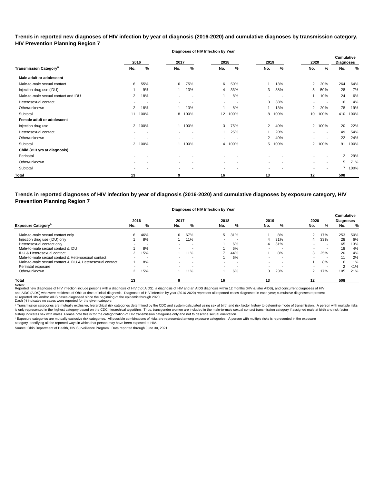**Trends in reported new diagnoses of HIV infection by year of diagnosis (2016-2020) and cumulative diagnoses by transmission category, HIV Prevention Planning Region 7**

**Diagnoses of HIV Infection by Year**

|                                          |                | 2016 | 2017        |                          | 2018                     |                          | 2019                     |      | 2020                     |                          | <b>Cumulative</b><br><b>Diagnoses</b> |      |
|------------------------------------------|----------------|------|-------------|--------------------------|--------------------------|--------------------------|--------------------------|------|--------------------------|--------------------------|---------------------------------------|------|
| <b>Transmission Category<sup>a</sup></b> | No.            | %    | No.         | %                        | No.                      | %                        | No.                      | %    | No.                      | %                        | No.                                   | %    |
| Male adult or adolescent                 |                |      |             |                          |                          |                          |                          |      |                          |                          |                                       |      |
| Male-to-male sexual contact              | 6              | 55%  | 6           | 75%                      | 6                        | 50%                      |                          | 13%  | $\overline{2}$           | 20%                      | 264                                   | 64%  |
| Injection drug use (IDU)                 |                | 9%   |             | 13%                      | 4                        | 33%                      | 3                        | 38%  | 5                        | 50%                      | 28                                    | 7%   |
| Male-to-male sexual contact and IDU      | $\overline{2}$ | 18%  |             | $\overline{\phantom{a}}$ |                          | 8%                       | ٠                        |      |                          | 10%                      | 24                                    | 6%   |
| Heterosexual contact                     | $\sim$         | ٠    | $\sim$      | $\overline{\phantom{a}}$ | $\overline{\phantom{a}}$ | $\overline{\phantom{a}}$ | 3                        | 38%  | $\sim$                   | $\overline{\phantom{a}}$ | 16                                    | 4%   |
| Other/unknown                            | $\overline{2}$ | 18%  |             | 13%                      |                          | 8%                       |                          | 13%  | 2                        | 20%                      | 78                                    | 19%  |
| Subtotal                                 | 11             | 100% | 8           | 100%                     | 12 <sup>2</sup>          | 100%                     | 8                        | 100% | 10                       | 100%                     | 410                                   | 100% |
| Female adult or adolescent               |                |      |             |                          |                          |                          |                          |      |                          |                          |                                       |      |
| Injection drug use                       | $\mathbf{2}$   | 100% |             | 100%                     | 3                        | 75%                      | 2                        | 40%  |                          | 2 100%                   | 20                                    | 22%  |
| Heterosexual contact                     |                |      |             | $\overline{\phantom{a}}$ |                          | 25%                      |                          | 20%  |                          | $\overline{\phantom{a}}$ | 49                                    | 54%  |
| Other/unknown                            |                | ٠    | $\sim$      | $\overline{\phantom{a}}$ | $\overline{\phantom{a}}$ | $\overline{\phantom{a}}$ | 2                        | 40%  | ۰.                       | $\sim$                   | 22                                    | 24%  |
| Subtotal                                 | $\mathbf{2}$   | 100% |             | 100%                     | 4                        | 100%                     | 5                        | 100% |                          | 2 100%                   | 91                                    | 100% |
| Child (<13 yrs at diagnosis)             |                |      |             |                          |                          |                          |                          |      |                          |                          |                                       |      |
| Perinatal                                |                |      |             |                          |                          |                          |                          |      |                          |                          | 2                                     | 29%  |
| Other/unknown                            |                |      | $\sim$      |                          | $\overline{\phantom{a}}$ | $\overline{\phantom{a}}$ | $\overline{\phantom{a}}$ |      | $\sim$                   | $\overline{\phantom{a}}$ | 5                                     | 71%  |
| Subtotal                                 |                |      | $\,$ – $\,$ |                          | $\overline{\phantom{a}}$ |                          |                          |      | $\overline{\phantom{a}}$ | $\overline{\phantom{a}}$ |                                       | 100% |
| Total                                    | 13             |      | 9           |                          | 16                       |                          | 13                       |      | 12                       |                          | 508                                   |      |

**Trends in reported diagnoses of HIV infection by year of diagnosis (2016-2020) and cumulative diagnoses by exposure category, HIV Prevention Planning Region 7**

#### **Diagnoses of HIV Infection by Year**

|                                                          | 2016                     |     | 2017                     |                          | 2018           |     | 2019 |     | 2020 |     | <b>Cumulative</b><br><b>Diagnoses</b> |         |
|----------------------------------------------------------|--------------------------|-----|--------------------------|--------------------------|----------------|-----|------|-----|------|-----|---------------------------------------|---------|
| <b>Exposure Category</b> <sup>p</sup>                    | No.                      | %   | No.                      | %                        | No.            | ℅   | No.  | %   | No.  | %   | No.                                   | %       |
| Male-to-male sexual contact only                         |                          | 46% | 6                        | 67%                      | 5              | 31% |      | 8%  |      | 17% | 253                                   | 50%     |
| Injection drug use (IDU) only                            |                          | 8%  |                          | 11%                      | $\blacksquare$ | -   | 4    | 31% |      | 33% | 28                                    | 6%      |
| Heterosexual contact only                                |                          |     | $\overline{\phantom{a}}$ | $\overline{\phantom{a}}$ |                | 6%  | 4    | 31% |      | . . | 65                                    | 13%     |
| Male-to-male sexual contact & IDU                        |                          | 8%  | $\overline{\phantom{a}}$ | . .                      |                | 6%  |      |     |      | . . | 18                                    | 4%      |
| IDU & Heterosexual contact                               |                          | 15% |                          | 11%                      |                | 44% |      | 8%  | 3    | 25% | 20                                    | 4%      |
| Male-to-male sexual contact & Heterosexual contact       |                          |     |                          | . .                      |                | 6%  |      |     |      | . . | 11                                    | 2%      |
| Male-to-male sexual contact & IDU & Heterosexual contact |                          | 8%  |                          | $\overline{\phantom{a}}$ |                | -   |      |     |      | 8%  | 6                                     | 1%      |
| Perinatal exposure                                       | $\overline{\phantom{0}}$ |     | $\sim$                   | $\overline{\phantom{a}}$ | $\blacksquare$ | -   |      |     |      | -   | າ                                     | $< 1\%$ |
| Other/unknown                                            |                          | 15% |                          | 11%                      |                | 6%  | 3    | 23% |      | 17% | 105                                   | 21%     |
| <b>Total</b>                                             | 13                       |     |                          |                          | 16             |     | 13   |     | 12   |     | 508                                   |         |

Notes:<br>Reported new diagnoses of HIV infection include persons with a diagnosis of HIV (not AIDS), a diagnosis of HIV and an AIDS diagnosis within 12 months (HIV & later AIDS), and concurrent diagnoses of HIV all reported HIV and/or AIDS cases diagnosed since the beginning of the epidemic through 2020.<br>Dash (-) indicates no cases were reported for the given category. and AIDS (AIDS) who were residents of Ohio at time of initial diagnosis. Diagnoses of HIV infection by year (2016-2020) represent all reported cases diagnosed in each year; cumulative diagnoses represent

a Transmission categories are mutually exclusive, hierarchical risk categories determined by the CDC and system-calculated using sex at birth and risk factor history to determine mode of transmission. A person with multipl is only represented in the highest category based on the CDC hierarchical algorithm. Thus, transgender women are included in the male-to-male sexual contact transmission category if assigned male at birth and risk factor history indicates sex with males. Please note this is for the categorization of HIV transmission categories only and not to describe sexual orientation.

 $^{\rm b}$  Exposure categories are mutually exclusive risk categories. All possible combinations of risks are represented among exposure categories. A person with multiple risks is represented in the exposure

category identifying all the reported ways in which that person may have been exposed to HIV.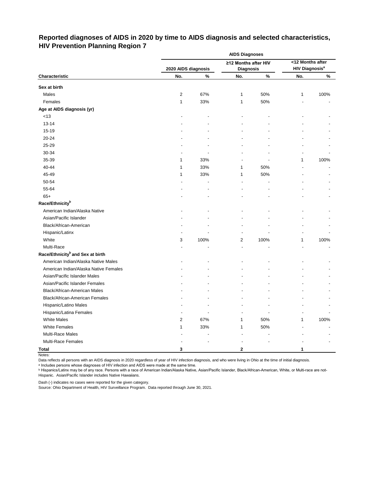# **Reported diagnoses of AIDS in 2020 by time to AIDS diagnosis and selected characteristics, HIV Prevention Planning Region 7**

|                                              | <b>AIDS Diagnoses</b> |      |                         |      |                                  |      |  |  |  |  |
|----------------------------------------------|-----------------------|------|-------------------------|------|----------------------------------|------|--|--|--|--|
|                                              |                       |      | ≥12 Months after HIV    |      | <12 Months after                 |      |  |  |  |  |
|                                              | 2020 AIDS diagnosis   |      | <b>Diagnosis</b>        |      | <b>HIV Diagnosis<sup>a</sup></b> |      |  |  |  |  |
| Characteristic                               | No.                   | $\%$ | No.                     | $\%$ | No.                              | $\%$ |  |  |  |  |
| Sex at birth                                 |                       |      |                         |      |                                  |      |  |  |  |  |
| Males                                        | 2                     | 67%  | 1                       | 50%  | 1                                | 100% |  |  |  |  |
| Females                                      | $\mathbf{1}$          | 33%  | $\mathbf{1}$            | 50%  |                                  |      |  |  |  |  |
| Age at AIDS diagnosis (yr)                   |                       |      |                         |      |                                  |      |  |  |  |  |
| $<13$                                        |                       |      |                         |      |                                  |      |  |  |  |  |
| $13 - 14$                                    |                       |      |                         |      |                                  |      |  |  |  |  |
| 15-19                                        |                       |      |                         |      |                                  |      |  |  |  |  |
| 20-24                                        |                       |      |                         |      |                                  |      |  |  |  |  |
| 25-29                                        |                       |      |                         |      |                                  |      |  |  |  |  |
| 30-34                                        |                       |      |                         |      |                                  |      |  |  |  |  |
| 35-39                                        | 1                     | 33%  |                         |      | 1                                | 100% |  |  |  |  |
| 40-44                                        | 1                     | 33%  | 1                       | 50%  |                                  |      |  |  |  |  |
| 45-49                                        | 1                     | 33%  | 1                       | 50%  |                                  |      |  |  |  |  |
| 50-54                                        |                       |      |                         |      |                                  |      |  |  |  |  |
| 55-64                                        |                       |      |                         |      |                                  |      |  |  |  |  |
| $65+$                                        |                       |      |                         |      |                                  |      |  |  |  |  |
| Race/Ethnicity <sup>b</sup>                  |                       |      |                         |      |                                  |      |  |  |  |  |
| American Indian/Alaska Native                |                       |      |                         |      |                                  |      |  |  |  |  |
| Asian/Pacific Islander                       |                       |      |                         |      |                                  |      |  |  |  |  |
| Black/African-American                       |                       |      |                         |      |                                  |      |  |  |  |  |
| Hispanic/Latinx                              |                       |      |                         |      |                                  |      |  |  |  |  |
| White                                        | 3                     | 100% | $\overline{\mathbf{c}}$ | 100% | 1                                | 100% |  |  |  |  |
| Multi-Race                                   |                       |      |                         |      |                                  |      |  |  |  |  |
| Race/Ethnicity <sup>b</sup> and Sex at birth |                       |      |                         |      |                                  |      |  |  |  |  |
| American Indian/Alaska Native Males          |                       |      |                         |      |                                  |      |  |  |  |  |
| American Indian/Alaska Native Females        |                       |      |                         |      |                                  |      |  |  |  |  |
| Asian/Pacific Islander Males                 |                       |      |                         |      |                                  |      |  |  |  |  |
| Asian/Pacific Islander Females               |                       |      |                         |      |                                  |      |  |  |  |  |
| Black/African-American Males                 |                       |      |                         |      |                                  |      |  |  |  |  |
| Black/African-American Females               |                       |      |                         |      |                                  |      |  |  |  |  |
| Hispanic/Latino Males                        |                       |      |                         |      |                                  |      |  |  |  |  |
| Hispanic/Latina Females                      |                       |      |                         |      |                                  |      |  |  |  |  |
| <b>White Males</b>                           | 2                     | 67%  | 1                       | 50%  | 1                                | 100% |  |  |  |  |
| <b>White Females</b>                         | 1                     | 33%  | 1                       | 50%  |                                  |      |  |  |  |  |
| Multi-Race Males                             |                       |      |                         |      |                                  |      |  |  |  |  |
| Multi-Race Females                           |                       |      |                         |      |                                  |      |  |  |  |  |
| <b>Total</b>                                 | 3                     |      | 2                       |      | 1                                |      |  |  |  |  |

Notes:

Data reflects all persons with an AIDS diagnosis in 2020 regardless of year of HIV infection diagnosis, and who were living in Ohio at the time of initial diagnosis.

ᵃ Includes persons whose diagnoses of HIV infection and AIDS were made at the same time.

<u>b Hispanics/Latinx may be of any race. Persons with a race of American Indian/Alaska Native, Asian/Pacific Islander, Black/African-American, White, or Multi-race are not-</u> Hispanic. Asian/Pacific Islander includes Native Hawaiians.

Dash (-) indicates no cases were reported for the given category.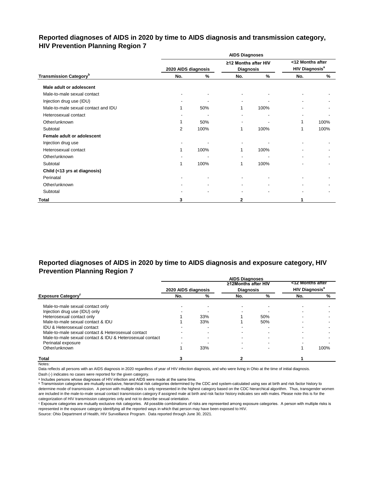# **Reported diagnoses of AIDS in 2020 by time to AIDS diagnosis and transmission category, HIV Prevention Planning Region 7**

|                                           |                     |      | <b>AIDS Diagnoses</b>                    |               |                                                      |      |
|-------------------------------------------|---------------------|------|------------------------------------------|---------------|------------------------------------------------------|------|
|                                           | 2020 AIDS diagnosis |      | ≥12 Months after HIV<br><b>Diagnosis</b> |               | <12 Months after<br><b>HIV Diagnosis<sup>a</sup></b> |      |
| <b>Transmission Category</b> <sup>b</sup> | No.                 | %    | No.                                      | $\frac{9}{6}$ | No.                                                  | %    |
| Male adult or adolescent                  |                     |      |                                          |               |                                                      |      |
| Male-to-male sexual contact               |                     |      |                                          |               |                                                      |      |
| Injection drug use (IDU)                  |                     |      | $\blacksquare$                           |               |                                                      |      |
| Male-to-male sexual contact and IDU       |                     | 50%  | 1                                        | 100%          |                                                      |      |
| Heterosexual contact                      |                     |      |                                          |               |                                                      |      |
| Other/unknown                             |                     | 50%  |                                          |               | 1                                                    | 100% |
| Subtotal                                  | $\overline{2}$      | 100% | 1                                        | 100%          | 1                                                    | 100% |
| Female adult or adolescent                |                     |      |                                          |               |                                                      |      |
| Injection drug use                        |                     |      |                                          |               |                                                      |      |
| Heterosexual contact                      |                     | 100% | 1                                        | 100%          |                                                      |      |
| Other/unknown                             |                     |      |                                          |               |                                                      |      |
| Subtotal                                  |                     | 100% | 1                                        | 100%          |                                                      |      |
| Child (<13 yrs at diagnosis)              |                     |      |                                          |               |                                                      |      |
| Perinatal                                 |                     |      |                                          |               |                                                      |      |
| Other/unknown                             |                     |      |                                          |               |                                                      |      |
| Subtotal                                  |                     |      |                                          |               |                                                      |      |
| <b>Total</b>                              | 3                   |      | 2                                        |               |                                                      |      |

# **Reported diagnoses of AIDS in 2020 by time to AIDS diagnosis and exposure category, HIV Prevention Planning Region 7**

|                                                          |                     |     | <b>AIDS Diagnoses</b> |     |                                  |      |
|----------------------------------------------------------|---------------------|-----|-----------------------|-----|----------------------------------|------|
|                                                          |                     |     | ≥12Months after HIV   |     | <12 Months after                 |      |
|                                                          | 2020 AIDS diagnosis |     | <b>Diagnosis</b>      |     | <b>HIV Diagnosis<sup>a</sup></b> |      |
| <b>Exposure Category</b>                                 | No.                 | %   | No.                   | %   | No.                              | %    |
| Male-to-male sexual contact only                         |                     |     |                       |     |                                  |      |
| Injection drug use (IDU) only                            |                     |     |                       |     |                                  |      |
| Heterosexual contact only                                |                     | 33% |                       | 50% |                                  |      |
| Male-to-male sexual contact & IDU                        |                     | 33% |                       | 50% |                                  |      |
| <b>IDU &amp; Heterosexual contact</b>                    |                     |     |                       |     |                                  |      |
| Male-to-male sexual contact & Heterosexual contact       |                     |     |                       |     |                                  |      |
| Male-to-male sexual contact & IDU & Heterosexual contact |                     |     |                       |     |                                  |      |
| Perinatal exposure                                       |                     |     |                       |     |                                  |      |
| Other/unknown                                            |                     | 33% |                       |     |                                  | 100% |
| <b>Total</b>                                             |                     |     |                       |     |                                  |      |

Notes:

Data reflects all persons with an AIDS diagnosis in 2020 regardless of year of HIV infection diagnosis, and who were living in Ohio at the time of initial diagnosis.

Dash (-) indicates no cases were reported for the given category.

a Includes persons whose diagnoses of HIV infection and AIDS were made at the same time.

**b** Transmission categories are mutually exclusive, hierarchical risk categories determined by the CDC and system-calculated using sex at birth and risk factor history to determine mode of transmission. A person with multiple risks is only represented in the highest category based on the CDC hierarchical algorithm. Thus, transgender women are included in the male-to-male sexual contact transmission category if assigned male at birth and risk factor history indicates sex with males. Please note this is for the categorization of HIV transmission categories only and not to describe sexual orientation.

ᶜ Exposure categories are mutually exclusive risk categories. All possible combinations of risks are represented among exposure categories. A person with multiple risks is represented in the exposure category identifying all the reported ways in which that person may have been exposed to HIV.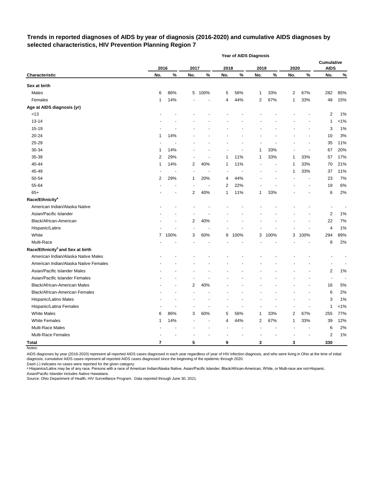# **Trends in reported diagnoses of AIDS by year of diagnosis (2016-2020) and cumulative AIDS diagnoses by selected characteristics, HIV Prevention Planning Region 7**

|                                              |      |      |                          |      |      | Year of AIDS Diagnosis |                |      |      |      |                                  |         |
|----------------------------------------------|------|------|--------------------------|------|------|------------------------|----------------|------|------|------|----------------------------------|---------|
|                                              | 2016 |      | 2017                     |      | 2018 |                        | 2019           |      | 2020 |      | <b>Cumulative</b><br><b>AIDS</b> |         |
| Characteristic                               | No.  | $\%$ | No.                      | $\%$ | No.  | $\%$                   | No.            | %    | No.  | %    | No.                              | $\%$    |
| Sex at birth                                 |      |      |                          |      |      |                        |                |      |      |      |                                  |         |
| Males                                        | 6    | 86%  | 5                        | 100% | 5    | 56%                    | 1              | 33%  | 2    | 67%  | 282                              | 85%     |
| Females                                      | 1    | 14%  |                          |      | 4    | 44%                    | 2              | 67%  | 1    | 33%  | 48                               | 15%     |
| Age at AIDS diagnosis (yr)                   |      |      |                          |      |      |                        |                |      |      |      |                                  |         |
| < 13                                         |      |      |                          |      |      |                        |                |      |      |      | 2                                | 1%      |
| $13 - 14$                                    |      |      |                          |      |      |                        |                |      |      |      | 1                                | $< 1\%$ |
| 15-19                                        |      |      |                          |      |      |                        |                |      |      |      | 3                                | 1%      |
| 20-24                                        | 1    | 14%  |                          |      |      |                        |                |      |      |      | 10                               | 3%      |
| 25-29                                        |      |      |                          |      |      |                        |                |      |      |      | 35                               | 11%     |
| 30-34                                        | 1    | 14%  |                          |      |      |                        | 1              | 33%  |      |      | 67                               | 20%     |
| 35-39                                        | 2    | 29%  | $\blacksquare$           | ٠    | 1    | 11%                    | 1              | 33%  | 1    | 33%  | 57                               | 17%     |
| 40-44                                        | 1    | 14%  | $\overline{c}$           | 40%  | 1    | 11%                    |                |      | 1    | 33%  | 70                               | 21%     |
| 45-49                                        |      |      | $\overline{a}$           |      |      |                        |                | ÷,   | 1    | 33%  | 37                               | 11%     |
| 50-54                                        | 2    | 29%  | 1                        | 20%  | 4    | 44%                    |                |      |      |      | 23                               | 7%      |
| 55-64                                        |      |      |                          |      | 2    | 22%                    |                |      |      |      | 19                               | 6%      |
| $65+$                                        |      |      | 2                        | 40%  | 1    | 11%                    | 1              | 33%  |      |      | 6                                | 2%      |
| Race/Ethnicity <sup>a</sup>                  |      |      |                          |      |      |                        |                |      |      |      |                                  |         |
| American Indian/Alaska Native                |      |      |                          |      |      |                        |                |      |      |      |                                  |         |
| Asian/Pacific Islander                       |      |      |                          |      |      |                        |                |      |      |      | $\overline{\mathbf{c}}$          | 1%      |
| Black/African-American                       |      |      | $\overline{c}$           | 40%  |      |                        |                |      |      |      | 22                               | 7%      |
| Hispanic/Latinx                              |      |      | $\overline{\phantom{a}}$ |      |      |                        |                |      |      |      | 4                                | 1%      |
| White                                        | 7    | 100% | 3                        | 60%  | 9    | 100%                   | 3              | 100% | 3    | 100% | 294                              | 89%     |
| Multi-Race                                   |      |      |                          |      |      |                        |                |      |      |      | 8                                | 2%      |
| Race/Ethnicity <sup>a</sup> and Sex at birth |      |      |                          |      |      |                        |                |      |      |      |                                  |         |
| American Indian/Alaska Native Males          |      |      |                          |      |      |                        |                |      |      |      |                                  |         |
| American Indian/Alaska Native Females        |      |      |                          |      |      |                        |                |      |      |      |                                  |         |
| Asian/Pacific Islander Males                 |      |      |                          |      |      |                        |                |      |      |      | 2                                | 1%      |
| Asian/Pacific Islander Females               |      |      |                          |      |      |                        |                |      |      |      | $\blacksquare$                   |         |
| Black/African-American Males                 |      |      | 2                        | 40%  |      |                        |                |      |      |      | 16                               | 5%      |
| Black/African-American Females               |      |      |                          |      |      |                        |                |      |      |      | 6                                | 2%      |
| Hispanic/Latino Males                        |      |      |                          |      |      |                        |                |      |      |      | 3                                | 1%      |
| Hispanic/Latina Females                      |      |      |                          |      |      |                        |                |      |      |      | 1                                | $< 1\%$ |
| <b>White Males</b>                           | 6    | 86%  | 3                        | 60%  | 5    | 56%                    | 1              | 33%  | 2    | 67%  | 255                              | 77%     |
| <b>White Females</b>                         | 1    | 14%  |                          |      | 4    | 44%                    | $\overline{c}$ | 67%  | 1    | 33%  | 39                               | 12%     |
| Multi-Race Males                             |      |      |                          |      |      |                        |                |      |      |      | 6                                | 2%      |
| Multi-Race Females                           |      |      |                          |      |      |                        |                |      |      |      | 2                                | 1%      |
| <b>Total</b>                                 | 7    |      | 5                        |      | 9    |                        | 3              |      | 3    |      | 330                              |         |

Notes:

AIDS diagnoses by year (2016-2020) represent all reported AIDS cases diagnosed in each year regardless of year of HIV infection diagnosis, and who were living in Ohio at the time of initial diagnosis; cumulative AIDS cases represent all reported AIDS cases diagnosed since the beginning of the epidemic through 2020.

Dash (-) indicates no cases were reported for the given category.

a Hispanics/Latinx may be of any race. Persons with a race of American Indian/Alaska Native, Asian/Pacific Islander, Black/African-American, White, or Multi-race are not-Hispanic. Asian/Pacific Islander includes Native Hawaiians.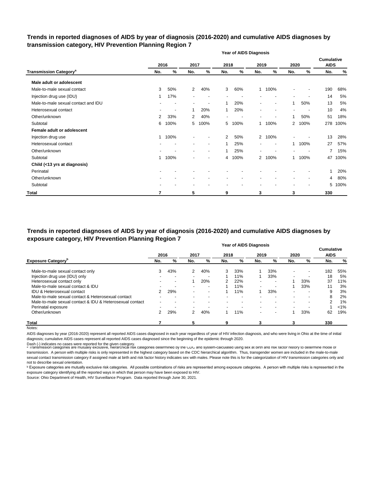## **Trends in reported diagnoses of AIDS by year of diagnosis (2016-2020) and cumulative AIDS diagnoses by transmission category, HIV Prevention Planning Region 7**

|                                          |                |      |                |                          |                | <b>Year of AIDS Diagnosis</b> |                          |                          |                          |      |                                  |      |
|------------------------------------------|----------------|------|----------------|--------------------------|----------------|-------------------------------|--------------------------|--------------------------|--------------------------|------|----------------------------------|------|
|                                          |                | 2016 | 2017           |                          | 2018           |                               | 2019                     |                          | 2020                     |      | <b>Cumulative</b><br><b>AIDS</b> |      |
| <b>Transmission Category<sup>a</sup></b> | No.            | %    | No.            | %                        | No.            | %                             | No.                      | %                        | No.                      | %    | No.                              | %    |
| Male adult or adolescent                 |                |      |                |                          |                |                               |                          |                          |                          |      |                                  |      |
| Male-to-male sexual contact              | 3              | 50%  | $\overline{2}$ | 40%                      | 3              | 60%                           | 1                        | 100%                     | $\overline{\phantom{a}}$ |      | 190                              | 68%  |
| Injection drug use (IDU)                 | 1              | 17%  |                | $\overline{\phantom{a}}$ |                |                               |                          |                          | $\overline{\phantom{a}}$ |      | 14                               | 5%   |
| Male-to-male sexual contact and IDU      |                |      |                | ٠                        |                | 20%                           |                          | $\overline{\phantom{a}}$ | 1                        | 50%  | 13                               | 5%   |
| Heterosexual contact                     |                |      | 1              | 20%                      | 1              | 20%                           |                          |                          |                          |      | 10                               | 4%   |
| Other/unknown                            | $\overline{2}$ | 33%  | $\overline{2}$ | 40%                      |                |                               | $\overline{\phantom{a}}$ | $\overline{\phantom{a}}$ | 1                        | 50%  | 51                               | 18%  |
| Subtotal                                 | 6              | 100% | 5              | 100%                     | 5              | 100%                          | 1                        | 100%                     | 2                        | 100% | 278                              | 100% |
| Female adult or adolescent               |                |      |                |                          |                |                               |                          |                          |                          |      |                                  |      |
| Injection drug use                       | $\mathbf{1}$   | 100% |                |                          | $\overline{2}$ | 50%                           | $\overline{2}$           | 100%                     |                          |      | 13                               | 28%  |
| Heterosexual contact                     |                |      |                | $\blacksquare$           | 1              | 25%                           | $\overline{\phantom{a}}$ | $\overline{\phantom{a}}$ | 1                        | 100% | 27                               | 57%  |
| Other/unknown                            |                |      |                | $\overline{\phantom{a}}$ |                | 25%                           |                          |                          |                          |      | 7                                | 15%  |
| Subtotal                                 | $\mathbf{1}$   | 100% |                | ٠                        | 4              | 100%                          | $\overline{2}$           | 100%                     | 1.                       | 100% | 47                               | 100% |
| Child (<13 yrs at diagnosis)             |                |      |                |                          |                |                               |                          |                          |                          |      |                                  |      |
| Perinatal                                |                |      |                |                          |                |                               |                          |                          |                          |      | 1                                | 20%  |
| Other/unknown                            |                |      |                |                          |                |                               |                          |                          |                          |      | 4                                | 80%  |
| Subtotal                                 |                |      |                |                          |                |                               |                          |                          |                          |      | 5                                | 100% |
| <b>Total</b>                             | 7              |      | 5              |                          | 9              |                               | 3                        |                          | 3                        |      | 330                              |      |

**Year of AIDS Diagnosis Trends in reported diagnoses of AIDS by year of diagnosis (2016-2020) and cumulative AIDS diagnoses by exposure category, HIV Prevention Planning Region 7**

|                                                          |               |     |      |                          |      | i dal ol AIDƏ Diayilosis |                          |                          |                          |                          | <b>Cumulative</b> |               |
|----------------------------------------------------------|---------------|-----|------|--------------------------|------|--------------------------|--------------------------|--------------------------|--------------------------|--------------------------|-------------------|---------------|
|                                                          | 2016          |     | 2017 |                          | 2018 |                          | 2019                     |                          | 2020                     |                          | <b>AIDS</b>       |               |
| <b>Exposure Category</b> <sup>b</sup>                    | No.           | %   | No.  | %                        | No.  | %                        | No.                      | %                        | No.                      | %                        | No.               | $\frac{9}{6}$ |
| Male-to-male sexual contact only                         | 3             | 43% | 2    | 40%                      | 3    | 33%                      |                          | 33%                      | $\overline{\phantom{a}}$ | ۰                        | 182               | 55%           |
| Injection drug use (IDU) only                            |               |     |      | $\overline{\phantom{a}}$ |      | 11%                      |                          | 33%                      | $\blacksquare$           |                          | 18                | 5%            |
| Heterosexual contact only                                |               |     |      | 20%                      | 2    | 22%                      | $\overline{\phantom{0}}$ |                          |                          | 33%                      | 37                | 11%           |
| Male-to-male sexual contact & IDU                        |               |     |      | $\,$                     |      | 11%                      | $\overline{\phantom{a}}$ | $\overline{\phantom{0}}$ |                          | 33%                      | 11                | 3%            |
| IDU & Heterosexual contact                               | 2             | 29% |      | $\,$                     |      | 1%                       |                          | 33%                      | $\overline{\phantom{0}}$ | ۰                        | 9                 | 3%            |
| Male-to-male sexual contact & Heterosexual contact       |               |     |      | $\,$                     |      | $\overline{\phantom{a}}$ |                          |                          | $\overline{\phantom{a}}$ | $\,$                     | 8                 | 2%            |
| Male-to-male sexual contact & IDU & Heterosexual contact |               |     |      | ۰.                       |      | $\sim$                   | $\overline{\phantom{0}}$ |                          | $\blacksquare$           | $\overline{\phantom{a}}$ | 2                 | $1\%$         |
| Perinatal exposure                                       |               |     |      |                          |      |                          | $\overline{\phantom{0}}$ | $\overline{\phantom{0}}$ | $\blacksquare$           |                          |                   | $< 1\%$       |
| Other/unknown                                            | $\mathcal{P}$ | 29% | 2    | 40%                      |      | 1%                       | $\overline{\phantom{a}}$ | $\overline{\phantom{0}}$ |                          | 33%                      | 62                | 19%           |
| <b>Total</b>                                             |               |     | 5    |                          | 9    |                          | 3                        |                          | 3                        |                          | 330               |               |

Notes:

AIDS diagnoses by year (2016-2020) represent all reported AIDS cases diagnosed in each year regardless of year of HIV infection diagnosis, and who were living in Ohio at the time of initial diagnosis; cumulative AIDS cases represent all reported AIDS cases diagnosed since the beginning of the epidemic through 2020.

Dash (-) indicates no cases were reported for the given category.<br>◎ Transmission categories are mutually exclusive, nierarcnical risk categories determined by the CDC and system-calculated using sex at birth and risk ract transmission. A person with multiple risks is only represented in the highest category based on the CDC hierarchical algorithm. Thus, transgender women are included in the male-to-male sexual contact transmission category if assigned male at birth and risk factor history indicates sex with males. Please note this is for the categorization of HIV transmission categories only and not to describe sexual orientation.

**b** Exposure categories are mutually exclusive risk categories. All possible combinations of risks are represented among exposure categories. A person with multiple risks is represented in the exposure category identifying all the reported ways in which that person may have been exposed to HIV.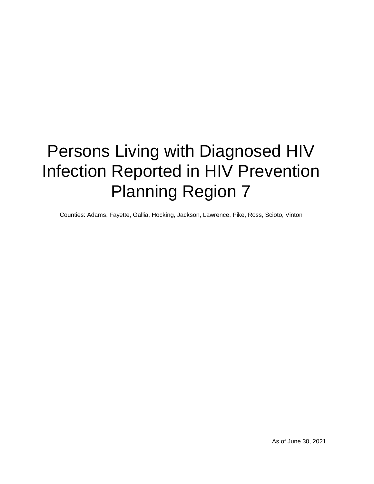# Persons Living with Diagnosed HIV Infection Reported in HIV Prevention Planning Region 7

Counties: Adams, Fayette, Gallia, Hocking, Jackson, Lawrence, Pike, Ross, Scioto, Vinton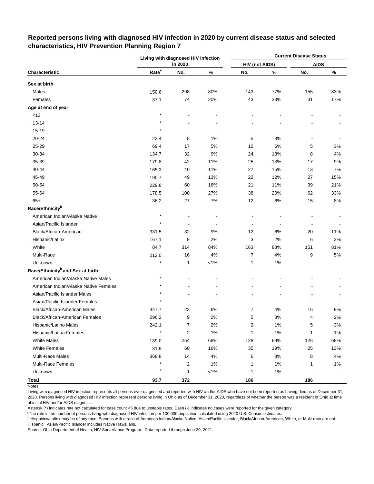|                                              |                   | Living with diagnosed HIV infection |         |                       |        | <b>Current Disease Status</b> |       |
|----------------------------------------------|-------------------|-------------------------------------|---------|-----------------------|--------|-------------------------------|-------|
|                                              |                   | in 2020                             |         | <b>HIV (not AIDS)</b> |        | <b>AIDS</b>                   |       |
| Characteristic                               | Rate <sup>a</sup> | No.                                 | $\%$    | No.                   | $\%$   | No.                           | $\%$  |
| Sex at birth                                 |                   |                                     |         |                       |        |                               |       |
| Males                                        | 150.6             | 298                                 | 80%     | 143                   | 77%    | 155                           | 83%   |
| Females                                      | 37.1              | 74                                  | 20%     | 43                    | 23%    | 31                            | 17%   |
| Age at end of year                           |                   |                                     |         |                       |        |                               |       |
| <13                                          | $\star$           |                                     |         |                       |        |                               |       |
| $13 - 14$                                    | $\star$           |                                     |         |                       |        |                               |       |
| $15 - 19$                                    | $\star$           | $\overline{a}$                      |         | $\overline{a}$        | ÷      |                               |       |
| 20-24                                        | 22.4              | 5                                   | 1%      | 5                     | 3%     |                               |       |
| 25-29                                        | 69.4              | 17                                  | $5\%$   | 12                    | 6%     | 5                             | 3%    |
| 30-34                                        | 134.7             | 32                                  | 9%      | 24                    | 13%    | 8                             | 4%    |
| 35-39                                        | 179.8             | 42                                  | 11%     | 25                    | 13%    | 17                            | 9%    |
| 40-44                                        | 165.3             | 40                                  | 11%     | 27                    | 15%    | 13                            | 7%    |
| 45-49                                        | 190.7             | 49                                  | 13%     | 22                    | 12%    | 27                            | 15%   |
| 50-54                                        | 229.8             | 60                                  | 16%     | 21                    | 11%    | 39                            | 21%   |
| 55-64                                        | 178.5             | 100                                 | 27%     | 38                    | 20%    | 62                            | 33%   |
| $65+$                                        | 36.2              | 27                                  | 7%      | 12                    | 6%     | 15                            | 8%    |
| Race/Ethnicity <sup>b</sup>                  |                   |                                     |         |                       |        |                               |       |
| American Indian/Alaska Native                |                   |                                     |         |                       |        |                               |       |
| Asian/Pacific Islander                       | $\star$           | $\blacksquare$                      |         | $\overline{a}$        | $\sim$ |                               |       |
| Black/African-American                       | 331.5             | 32                                  | 9%      | 12                    | 6%     | 20                            | 11%   |
| Hispanic/Latinx                              | 167.1             | 9                                   | 2%      | 3                     | 2%     | 6                             | 3%    |
| White                                        | 84.7              | 314                                 | 84%     | 163                   | 88%    | 151                           | 81%   |
| Multi-Race                                   | 212.0             | 16                                  | 4%      | 7                     | 4%     | 9                             | 5%    |
| Unknown                                      |                   | 1                                   | $< 1\%$ | 1                     | 1%     |                               |       |
| Race/Ethnicity <sup>b</sup> and Sex at birth |                   |                                     |         |                       |        |                               |       |
| American Indian/Alaska Native Males          | $\star$           |                                     |         |                       |        |                               |       |
| American Indian/Alaska Native Females        | $\star$           |                                     |         |                       |        |                               |       |
| Asian/Pacific Islander Males                 |                   |                                     |         |                       |        |                               |       |
| Asian/Pacific Islander Females               |                   |                                     |         |                       |        |                               |       |
| Black/African-American Males                 | 347.7             | 23                                  | 6%      | 7                     | 4%     | 16                            | 9%    |
| Black/African-American Females               | 296.2             | 9                                   | 2%      | 5                     | 3%     | 4                             | 2%    |
| Hispanic/Latino Males                        | 242.1             | 7                                   | 2%      | $\overline{c}$        | 1%     | 5                             | $3%$  |
| Hispanic/Latina Females                      | $\star$           | $\overline{\mathbf{c}}$             | 1%      | 1                     | 1%     | 1                             | $1\%$ |
| <b>White Males</b>                           | 139.0             | 254                                 | 68%     | 128                   | 69%    | 126                           | 68%   |
| <b>White Females</b>                         | 31.9              | 60                                  | 16%     | 35                    | 19%    | 25                            | 13%   |
| <b>Multi-Race Males</b>                      | 368.8             | 14                                  | $4\%$   | 6                     | $3%$   | 8                             | 4%    |
| <b>Multi-Race Females</b>                    | $\star$           | 2                                   | $1\%$   | 1                     | $1\%$  | $\mathbf{1}$                  | $1\%$ |
| Unknown                                      | $\star$           | 1                                   | $1\%$   | 1                     | $1\%$  |                               |       |
| <b>Total</b>                                 | 93.7              | 372                                 |         | 186                   |        | 186                           |       |

# **Reported persons living with diagnosed HIV infection in 2020 by current disease status and selected characteristics, HIV Prevention Planning Region 7**

Living with diagnosed HIV infection represents all persons ever diagnosed and reported with HIV and/or AIDS who have not been reported as having died as of December 31, 2020. Persons living with diagnosed HIV infection represent persons living in Ohio as of December 31, 2020, regardless of whether the person was a resident of Ohio at time of initial HIV and/or AIDS diagnosis.

Asterisk (\*) indicates rate not calculated for case count <5 due to unstable rates. Dash (-) indicates no cases were reported for the given category.

<sup>a</sup>The rate is the number of persons living with diagnosed HIV infection per 100,000 population calculated using 2020 U.S. Census estimates.

ᵇ Hispanics/Latinx may be of any race. Persons with a race of American Indian/Alaska Native, Asian/Pacific Islander, Black/African-American, White, or Multi-race are not-Hispanic. Asian/Pacific Islander includes Native Hawaiians.

Notes: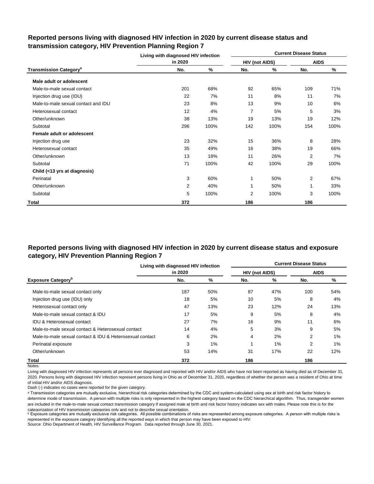|                                          | Living with diagnosed HIV infection |      |                |      | <b>Current Disease Status</b> |      |
|------------------------------------------|-------------------------------------|------|----------------|------|-------------------------------|------|
|                                          | in 2020                             |      | HIV (not AIDS) |      | <b>AIDS</b>                   |      |
| <b>Transmission Category<sup>a</sup></b> | No.                                 | %    | No.            | %    | No.                           | %    |
| Male adult or adolescent                 |                                     |      |                |      |                               |      |
| Male-to-male sexual contact              | 201                                 | 68%  | 92             | 65%  | 109                           | 71%  |
| Injection drug use (IDU)                 | 22                                  | 7%   | 11             | 8%   | 11                            | 7%   |
| Male-to-male sexual contact and IDU      | 23                                  | 8%   | 13             | 9%   | 10                            | 6%   |
| Heterosexual contact                     | 12                                  | 4%   | $\overline{7}$ | 5%   | 5                             | 3%   |
| Other/unknown                            | 38                                  | 13%  | 19             | 13%  | 19                            | 12%  |
| Subtotal                                 | 296                                 | 100% | 142            | 100% | 154                           | 100% |
| Female adult or adolescent               |                                     |      |                |      |                               |      |
| Injection drug use                       | 23                                  | 32%  | 15             | 36%  | 8                             | 28%  |
| Heterosexual contact                     | 35                                  | 49%  | 16             | 38%  | 19                            | 66%  |
| Other/unknown                            | 13                                  | 18%  | 11             | 26%  | $\overline{2}$                | 7%   |
| Subtotal                                 | 71                                  | 100% | 42             | 100% | 29                            | 100% |
| Child (<13 yrs at diagnosis)             |                                     |      |                |      |                               |      |
| Perinatal                                | 3                                   | 60%  | 1              | 50%  | 2                             | 67%  |
| Other/unknown                            | 2                                   | 40%  | 1              | 50%  | 1                             | 33%  |
| Subtotal                                 | 5                                   | 100% | 2              | 100% | 3                             | 100% |
| Total                                    | 372                                 |      | 186            |      | 186                           |      |

# **Reported persons living with diagnosed HIV infection in 2020 by current disease status and transmission category, HIV Prevention Planning Region 7**

# **Reported persons living with diagnosed HIV infection in 2020 by current disease status and exposure category, HIV Prevention Planning Region 7**

|                                                          | Living with diagnosed HIV infection |     |                       |     | <b>Current Disease Status</b> |     |
|----------------------------------------------------------|-------------------------------------|-----|-----------------------|-----|-------------------------------|-----|
|                                                          | in 2020                             |     | <b>HIV (not AIDS)</b> |     | <b>AIDS</b>                   |     |
| <b>Exposure Category</b> <sup>b</sup>                    | No.                                 | %   | No.                   | %   | No.                           | %   |
| Male-to-male sexual contact only                         | 187                                 | 50% | 87                    | 47% | 100                           | 54% |
| Injection drug use (IDU) only                            | 18                                  | 5%  | 10                    | 5%  | 8                             | 4%  |
| Heterosexual contact only                                | 47                                  | 13% | 23                    | 12% | 24                            | 13% |
| Male-to-male sexual contact & IDU                        | 17                                  | 5%  | 9                     | 5%  | 8                             | 4%  |
| <b>IDU &amp; Heterosexual contact</b>                    | 27                                  | 7%  | 16                    | 9%  | 11                            | 6%  |
| Male-to-male sexual contact & Heterosexual contact       | 14                                  | 4%  | 5                     | 3%  | 9                             | 5%  |
| Male-to-male sexual contact & IDU & Heterosexual contact | 6                                   | 2%  | 4                     | 2%  | 2                             | 1%  |
| Perinatal exposure                                       | 3                                   | 1%  |                       | 1%  | 2                             | 1%  |
| Other/unknown                                            | 53                                  | 14% | 31                    | 17% | 22                            | 12% |
| Total                                                    | 372                                 |     | 186                   |     | 186                           |     |

Notes:

Living with diagnosed HIV infection represents all persons ever diagnosed and reported with HIV and/or AIDS who have not been reported as having died as of December 31, 2020. Persons living with diagnosed HIV infection represent persons living in Ohio as of December 31, 2020, regardless of whether the person was a resident of Ohio at time of initial HIV and/or AIDS diagnosis.

Dash (-) indicates no cases were reported for the given category.

a Transmission categories are mutually exclusive, hierarchical risk categories determined by the CDC and system-calculated using sex at birth and risk factor history to determine mode of transmission. A person with multiple risks is only represented in the highest category based on the CDC hierarchical algorithm. Thus, transgender women are included in the male-to-male sexual contact transmission category if assigned male at birth and risk factor history indicates sex with males. Please note this is for the categorization of HIV transmission categories only and not to describe sexual orientation.

**b** Exposure categories are mutually exclusive risk categories. All possible combinations of risks are represented among exposure categories. A person with multiple risks is represented in the exposure category identifying all the reported ways in which that person may have been exposed to HIV.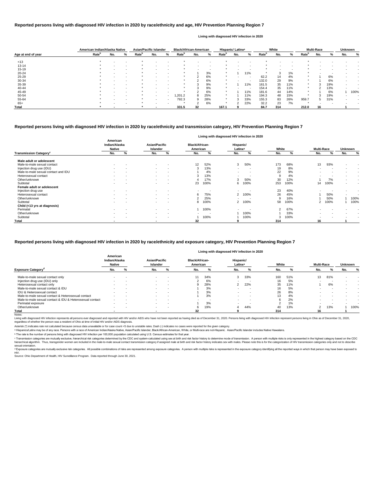|                    | American Indian/Alaska Native |     |   | <b>Asian/Pacific Islander</b> |     |        | <b>Black/African-American</b> |     |                          |                   | Hispanic/ Latinx <sup>a</sup> |        |                   | White                    |     |                   | <b>Multi-Race</b> |     | <b>Unknown</b> |      |
|--------------------|-------------------------------|-----|---|-------------------------------|-----|--------|-------------------------------|-----|--------------------------|-------------------|-------------------------------|--------|-------------------|--------------------------|-----|-------------------|-------------------|-----|----------------|------|
| Age at end of year | Rate <sup>b</sup>             | No. | % | Rate <sup>n</sup>             | No. | %      | Rate <sup>p</sup>             | No. | %                        | Rate <sup>p</sup> | No.                           | ℅      | Rate <sup>n</sup> | No.                      | %   | Rate <sup>r</sup> | No.               |     | No.            | %    |
|                    |                               |     |   |                               |     |        |                               |     |                          |                   |                               |        |                   |                          |     |                   |                   |     |                |      |
| < 13               |                               |     |   |                               |     |        |                               |     |                          |                   |                               |        |                   |                          |     |                   |                   |     |                |      |
| 13-14              |                               |     |   |                               |     |        |                               |     |                          |                   |                               |        |                   |                          |     |                   |                   |     |                |      |
| $15 - 19$          |                               |     |   |                               |     | $\sim$ |                               |     | $\overline{\phantom{0}}$ |                   |                               |        |                   | $\overline{\phantom{a}}$ |     |                   |                   |     |                |      |
| $20 - 24$          |                               |     |   |                               |     |        |                               |     | 3%                       |                   |                               | 11%    |                   | د.                       | 1%  |                   |                   |     |                |      |
| $25 - 29$          |                               |     |   |                               |     | $\sim$ |                               |     | 6%                       |                   |                               | $\sim$ | 62.2              | 14                       | 4%  |                   |                   | 6%  |                |      |
| 30-34              |                               |     |   |                               |     |        |                               |     | 6%                       |                   |                               | $\sim$ | 132.0             | 29                       | 9%  |                   |                   | 6%  |                |      |
| 35-39              |                               |     |   |                               |     | $\sim$ |                               |     | 9%                       |                   |                               | 11%    | 161.5             | 35                       | 11% |                   |                   | 19% |                |      |
| 40-44              |                               |     |   |                               |     |        |                               |     | 9%                       |                   |                               | $\sim$ | 154.4             | 35                       | 11% | $\star$           |                   | 13% |                |      |
| 45-49              |                               |     |   |                               |     | $\sim$ |                               |     | 6%                       |                   |                               | 11%    | 181.6             | 44                       | 14% |                   |                   | 6%  |                | 100% |
| 50-54              |                               |     |   |                               |     | $\sim$ | 1,201.2                       | 8   | 25%                      |                   |                               | 11%    | 194.3             | 48                       | 15% | $\star$           |                   | 19% |                |      |
| 55-64              |                               |     |   |                               |     | $\sim$ | 792.3                         | 9   | 28%                      | $\star$           |                               | 33%    | 155.3             | 83                       | 26% | 959.7             | ۰C                | 31% |                |      |
| $65+$              |                               |     |   |                               |     |        |                               | ◠   | 6%                       |                   |                               | 22%    | 32.2              | 23                       | 7%  |                   |                   |     |                |      |
| Total              |                               |     |   |                               |     |        | 331.5                         | 32  |                          | 167.1             |                               |        | 84.7              | 314                      |     | 212.0             | 16                |     |                |      |

|                                           |                                            |                          |                                         |                          |                                   | Living with diagnosed HIV infection in 2020 |                                  |                          |                |      |                          |      |                |                          |
|-------------------------------------------|--------------------------------------------|--------------------------|-----------------------------------------|--------------------------|-----------------------------------|---------------------------------------------|----------------------------------|--------------------------|----------------|------|--------------------------|------|----------------|--------------------------|
|                                           | American<br>Indian/Alaska<br><b>Native</b> |                          | <b>Asian/Pacific</b><br><b>Islander</b> |                          | <b>Black/African-</b><br>American |                                             | Hispanic/<br>Latinx <sup>a</sup> |                          | White          |      | <b>Multi-Race</b>        |      | <b>Unknown</b> |                          |
| <b>Transmission Category</b> <sup>c</sup> | No.                                        | %                        | No.                                     | %                        | No.                               | %                                           | No.                              | %                        | No.            | %    | No.                      | %    | No.            | %                        |
| Male adult or adolescent                  |                                            |                          |                                         |                          |                                   |                                             |                                  |                          |                |      |                          |      |                |                          |
| Male-to-male sexual contact               | $\sim$                                     | $\overline{\phantom{a}}$ | $\sim$                                  | $\,$ $\,$                | 12                                | 52%                                         | 3                                | 50%                      | 173            | 68%  | 13                       | 93%  | $\blacksquare$ | $\overline{\phantom{a}}$ |
| Injection drug use (IDU)                  | $\sim$                                     |                          | $\sim$                                  | $\,$ $\,$                | 3                                 | 13%                                         | $\sim$                           | $\overline{\phantom{a}}$ | 19             | 8%   | $\sim$                   |      |                |                          |
| Male-to-male sexual contact and IDU       | $\sim$                                     | $\overline{\phantom{a}}$ | $\sim$                                  | $\,$ $\,$                |                                   | 4%                                          |                                  | $\overline{\phantom{a}}$ | 22             | 9%   |                          |      |                | $\overline{\phantom{0}}$ |
| Heterosexual contact                      | $\sim$                                     | $\overline{\phantom{a}}$ |                                         | $\,$ $\,$                |                                   | 13%                                         |                                  |                          | 9              | 4%   | $\overline{\phantom{a}}$ |      |                | $\blacksquare$           |
| Other/unknown                             |                                            | $\overline{\phantom{a}}$ | <b>Section</b>                          | $\,$ $\,$                |                                   | 17%                                         | 3                                | 50%                      | 30             | 12%  |                          | 7%   | $\sim$         | $\overline{\phantom{a}}$ |
| Subtotal                                  | $\sim$                                     | $\overline{\phantom{a}}$ |                                         | $\blacksquare$           | 23                                | 100%                                        | 6                                | 100%                     | 253            | 100% | 14                       | 100% | $\sim$         | $\blacksquare$           |
| Female adult or adolescent                |                                            |                          |                                         |                          |                                   |                                             |                                  |                          |                |      |                          |      |                |                          |
| Injection drug use                        | $\sim$                                     | $\overline{\phantom{a}}$ | $\sim$                                  | $\,$ $\,$                | $\blacksquare$                    | $\overline{\phantom{a}}$                    |                                  |                          | 23             | 40%  |                          |      |                |                          |
| Heterosexual contact                      |                                            | -                        | $\sim$                                  | $\,$ $\,$                | 6                                 | 75%                                         | 2                                | 100%                     | 26             | 45%  |                          | 50%  |                |                          |
| Other/unknown                             |                                            | $\overline{\phantom{a}}$ |                                         | $\,$ $\,$                | 2                                 | 25%                                         |                                  |                          | 9              | 16%  |                          | 50%  |                | 100%                     |
| Subtotal                                  |                                            | $\overline{\phantom{a}}$ |                                         | $\,$ $\,$                | 8                                 | 100%                                        | 2                                | 100%                     | 58             | 100% | $\overline{2}$           | 100% |                | 100%                     |
| Child (<13 yrs at diagnosis)              |                                            |                          |                                         |                          |                                   |                                             |                                  |                          |                |      |                          |      |                |                          |
| Perinatal                                 | $\sim$                                     | $\overline{\phantom{a}}$ | $\sim$                                  | $\,$ $\,$                |                                   | 100%                                        | $\sim$                           | $\sim$                   | $\overline{2}$ | 67%  | $\overline{\phantom{a}}$ |      |                |                          |
| Other/unknown                             | $\sim$                                     | $\overline{\phantom{a}}$ | $\sim$                                  | $\sim$                   | $\blacksquare$                    | $\overline{\phantom{a}}$                    |                                  | 100%                     |                | 33%  | $\sim$                   |      |                | $\blacksquare$           |
| Subtotal                                  | $\overline{\phantom{a}}$                   |                          | <b>Section</b>                          | $\overline{\phantom{a}}$ |                                   | 100%                                        |                                  | 100%                     | 3              | 100% | $\,$ $\,$                |      |                | $\overline{\phantom{a}}$ |
| Total                                     |                                            |                          |                                         |                          | 32                                |                                             |                                  |                          | 314            |      | 16                       |      |                |                          |

<sup>c</sup> Transmission categories are mutually exclusive, hierarchical risk categories determined by the CDC and system-calculated using sex at birth and risk factor history to determine mode of transmission. A person with multi hierarchical algorithm. Thus, transgender women are included in the male-to-male sexual contact transmission category if assigned male at birth and risk factor history indicates sex with males. Please note this is for the sexual orientation.

<sup>d</sup> Exposure categories are mutually exclusive risk categories. All possible combinations of risks are represented among exposure categories. A person with multiple risks is represented in the exposure category identifying

|                                                          |                                            |   |                                  |                          |                                   |     | Living with diagnosed HIV infection in 2020 |                          |       |     |                   |     |                |           |
|----------------------------------------------------------|--------------------------------------------|---|----------------------------------|--------------------------|-----------------------------------|-----|---------------------------------------------|--------------------------|-------|-----|-------------------|-----|----------------|-----------|
|                                                          | American<br>Indian/Alaska<br><b>Native</b> |   | <b>Asian/Pacific</b><br>Islander |                          | <b>Black/African-</b><br>American |     | Hispanic/<br>Latinx <sup>a</sup>            |                          | White |     | <b>Multi-Race</b> |     | <b>Unknown</b> |           |
| <b>Exposure Category</b> <sup>a</sup>                    | No.                                        | % | No.                              | %                        | No.                               | %   | No.                                         |                          | No.   |     | No.               |     | No.            | %         |
| Male-to-male sexual contact only                         |                                            |   |                                  | $\sim$                   |                                   | 34% | 3                                           | 33%                      | 160   | 51% | 13                | 81% |                |           |
| Injection drug use (IDU) only                            | -                                          |   | $\sim$                           | . .                      |                                   | 6%  |                                             |                          | 16    | 5%  |                   |     |                |           |
| Heterosexual contact only                                | -                                          |   | $\sim$                           | . .                      |                                   | 28% |                                             | 22%                      | 35    | 11% |                   | 6%  |                |           |
| Male-to-male sexual contact & IDU                        |                                            |   |                                  | $\sim$                   |                                   | 3%  |                                             |                          | 16    | 5%  |                   |     |                |           |
| <b>IDU &amp; Heterosexual contact</b>                    | -                                          |   | $\sim$                           | . .                      |                                   | 3%  | $\sim$                                      | . .                      | 26    | 8%  |                   |     |                |           |
| Male-to-male sexual contact & Heterosexual contact       | -                                          |   |                                  | $\overline{\phantom{a}}$ |                                   | 3%  |                                             | $\overline{\phantom{a}}$ | 13    | 4%  |                   |     |                | $\,$ $\,$ |
| Male-to-male sexual contact & IDU & Heterosexual contact | $\overline{\phantom{a}}$                   |   |                                  | . .                      |                                   | -   | $\sim$                                      | . .                      |       | 2%  |                   |     |                |           |
| Perinatal exposure                                       | -                                          |   |                                  | . .                      |                                   | 3%  |                                             |                          |       | 1%  |                   |     |                |           |
| Other/unknown                                            | $\overline{\phantom{a}}$                   |   | $\sim$                           | . .                      | 6                                 | 19% |                                             | 44%                      | 40    | 13% |                   | 13% |                | 100%      |
| Total                                                    |                                            |   |                                  |                          | 32                                |     |                                             |                          | 314   |     |                   |     |                |           |

Notes:

Living with diagnosed HIV infection represents all persons ever diagnosed and reported with HIV and/or AIDS who have not been reported as having died as of December 31, 2020. Persons living with diagnosed HIV infection rep regardless of whether the person was a resident of Ohio at time of initial HIV and/or AIDS diagnosis.

#### **Reported persons living with diagnosed HIV infection in 2020 by race/ethnicity and transmission category, HIV Prevention Planning Region 7**

## **Reported persons living with diagnosed HIV infection in 2020 by race/ethnicity and age, HIV Prevention Planning Region 7**

#### **Living with diagnosed HIV infection in 2020**

#### **Reported persons living with diagnosed HIV infection in 2020 by race/ethnicity and exposure category, HIV Prevention Planning Region 7**

ᵇ The rate is the number of persons living with diagnosed HIV infection per 100,000 population calculated using U.S. Census estimates for that year.

Source: Ohio Department of Health, HIV Surveillance Program. Data reported through June 30, 2021. HIV.

Asterisk (\*) indicates rate not calculated because census data unavailable or for case count <5 due to unstable rates. Dash (-) indicates no cases were reported for the given category.

a Hispanics/Latinx may be of any race. Persons with a race of American Indian/Alaska Native, Asian/Pacific Islander, Black/African-American, White, or Multi-race are not-Hispanic. Asian/Pacific Islander includes Native Haw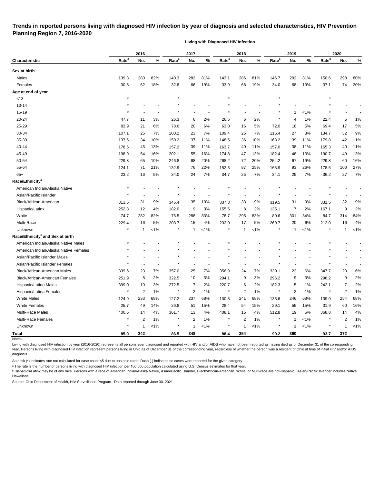# **Trends in reported persons living with diagnosed HIV infection by year of diagnosis and selected characteristics, HIV Prevention Planning Region 7, 2016-2020**

**Living with Diagnosed HIV Infection**

|                                              |                   | 2016             |         |                   | 2017           |         |                   | 2018         |         |                   | 2019           |         |                   | 2020           |         |
|----------------------------------------------|-------------------|------------------|---------|-------------------|----------------|---------|-------------------|--------------|---------|-------------------|----------------|---------|-------------------|----------------|---------|
| <b>Characteristic</b>                        | Rate <sup>a</sup> | No.              | %       | Rate <sup>a</sup> | No.            | %       | Rate <sup>a</sup> | No.          | %       | Rate <sup>a</sup> | No.            | %       | Rate <sup>a</sup> | No.            | %       |
| Sex at birth                                 |                   |                  |         |                   |                |         |                   |              |         |                   |                |         |                   |                |         |
| Males                                        | 139.3             | 280              | 82%     | 140.3             | 282            | 81%     | 143.1             | 286          | 81%     | 146.7             | 292            | 81%     | 150.6             | 298            | 80%     |
| Females                                      | 30.8              | 62               | 18%     | 32.8              | 66             | 19%     | 33.9              | 68           | 19%     | 34.0              | 68             | 19%     | 37.1              | 74             | 20%     |
| Age at end of year                           |                   |                  |         |                   |                |         |                   |              |         |                   |                |         |                   |                |         |
| <13                                          |                   |                  |         |                   |                |         |                   |              |         |                   |                |         |                   |                |         |
| $13 - 14$                                    |                   |                  |         |                   |                |         |                   |              |         |                   |                |         |                   |                |         |
| $15 - 19$                                    |                   |                  |         |                   |                |         |                   |              |         |                   | 1              | $< 1\%$ |                   |                |         |
| 20-24                                        | 47.7              | 11               | 3%      | 26.3              | 6              | 2%      | 26.5              | 6            | 2%      | $\ast$            | 4              | 1%      | 22.4              | 5              | 1%      |
| 25-29                                        | 83.9              | 21               | 6%      | 78.6              | 20             | 6%      | 63.0              | 16           | 5%      | 72.0              | 18             | 5%      | 69.4              | 17             | 5%      |
| 30-34                                        | 107.1             | 25               | 7%      | 100.2             | 23             | 7%      | 109.4             | 25           | 7%      | 116.4             | 27             | 8%      | 134.7             | 32             | 9%      |
| 35-39                                        | 137.6             | 34               | 10%     | 150.2             | 37             | 11%     | 148.5             | 36           | 10%     | 163.2             | 39             | 11%     | 179.8             | 42             | 11%     |
| 40-44                                        | 178.6             | 45               | 13%     | 157.2             | 39             | 11%     | 163.7             | 40           | 11%     | 157.0             | 38             | 11%     | 165.3             | 40             | 11%     |
| 45-49                                        | 198.9             | 54               | 16%     | 202.1             | 55             | 16%     | 174.8             | 47           | 13%     | 182.4             | 48             | 13%     | 190.7             | 49             | 13%     |
| 50-54                                        | 229.3             | 65               | 19%     | 246.8             | 68             | 20%     | 268.2             | 72           | 20%     | 254.2             | 67             | 19%     | 229.8             | 60             | 16%     |
| 55-64                                        | 124.1             | 71               | 21%     | 132.9             | 76             | 22%     | 152.3             | 87           | 25%     | 163.9             | 93             | 26%     | 178.5             | 100            | 27%     |
| $65+$                                        | 23.2              | 16               | 5%      | 34.0              | 24             | 7%      | 34.7              | 25           | 7%      | 34.1              | 25             | 7%      | 36.2              | 27             | 7%      |
| Race/Ethnicity <sup>b</sup>                  |                   |                  |         |                   |                |         |                   |              |         |                   |                |         |                   |                |         |
| American Indian/Alaska Native                | ×                 |                  |         |                   |                |         |                   |              |         |                   |                |         |                   |                |         |
| Asian/Pacific Islander                       |                   |                  |         |                   |                |         |                   |              |         |                   |                |         |                   |                |         |
| Black/African-American                       | 311.6             | 31               | 9%      | 346.4             | 35             | 10%     | 337.3             | 33           | 9%      | 319.5             | 31             | 9%      | 331.5             | 32             | 9%      |
| Hispanic/Latinx                              | 252.8             | 12               | 4%      | 182.0             | 9              | 3%      | 155.5             | 8            | 2%      | 135.1             | 7              | 2%      | 167.1             | 9              | 2%      |
| White                                        | 74.7              | 282              | 82%     | 76.5              | 288            | 83%     | 78.7              | 295          | 83%     | 80.6              | 301            | 84%     | 84.7              | 314            | 84%     |
| Multi-Race                                   | 229.4             | 16               | 5%      | 208.7             | 15             | 4%      | 232.0             | 17           | 5%      | 269.7             | 20             | 6%      | 212.0             | 16             | 4%      |
| Unknown                                      |                   | $\mathbf 1$      | $1\%$   |                   | $\mathbf{1}$   | $< 1\%$ |                   | -1           | 1%      |                   | $\mathbf{1}$   | $< 1\%$ |                   | 1              | $< 1\%$ |
| Race/Ethnicity <sup>b</sup> and Sex at birth |                   |                  |         |                   |                |         |                   |              |         |                   |                |         |                   |                |         |
| American Indian/Alaska Native Males          |                   |                  |         |                   |                |         |                   |              |         |                   |                |         |                   |                |         |
| American Indian/Alaska Native Females        |                   |                  |         |                   |                |         |                   |              |         |                   |                |         |                   |                |         |
| Asian/Pacific Islander Males                 |                   |                  |         |                   |                |         |                   |              |         |                   |                |         |                   |                |         |
| Asian/Pacific Islander Females               |                   |                  |         |                   |                |         |                   |              |         |                   |                |         |                   |                |         |
| Black/African-American Males                 | 339.6             | 23               | 7%      | 357.0             | 25             | 7%      | 356.9             | 24           | 7%      | 330.1             | 22             | 6%      | 347.7             | 23             | 6%      |
| Black/African-American Females               | 251.9             | 8                | 2%      | 322.5             | 10             | 3%      | 294.1             | 9            | 3%      | 296.2             | 9              | 3%      | 296.2             | 9              | 2%      |
| Hispanic/Latino Males                        | 399.0             | 10               | 3%      | 272.5             | $\overline{7}$ | 2%      | 220.7             | 6            | 2%      | 182.3             | 5              | $1\%$   | 242.1             | $\overline{7}$ | 2%      |
| Hispanic/Latina Females                      | $\star$           | $\boldsymbol{2}$ | $1\%$   | $\star$           | $\overline{2}$ | 1%      | $\star$           | 2            | $1\%$   | $\star$           | $\overline{2}$ | $1\%$   | $\star$           | $\overline{2}$ | 1%      |
| <b>White Males</b>                           | 124.9             | 233              | 68%     | 127.2             | 237            | 68%     | 130.3             | 241          | 68%     | 133.6             | 246            | 68%     | 139.0             | 254            | 68%     |
| <b>White Females</b>                         | 25.7              | 49               | 14%     | 26.8              | 51             | 15%     | 28.4              | 54           | 15%     | 29.1              | 55             | 15%     | 31.9              | 60             | 16%     |
| Multi-Race Males                             | 400.5             | 14               | 4%      | 361.7             | 13             | 4%      | 408.1             | 15           | 4%      | 512.8             | 19             | 5%      | 368.8             | 14             | 4%      |
| Multi-Race Females                           |                   | 2                | 1%      | $\ast$            | $\overline{c}$ | 1%      | $\ast$            | 2            | $1\%$   | $\star$           | $\overline{1}$ | $< 1\%$ |                   | 2              | 1%      |
| Unknown                                      | $\star$           | $\mathbf{1}$     | $< 1\%$ | $\ast$            | $\mathbf{1}$   | $< 1\%$ | $\ast$            | $\mathbf{1}$ | $< 1\%$ |                   | $\overline{1}$ | $< 1\%$ |                   | 1              | $< 1\%$ |
| <b>Total</b>                                 | 85.0              | 342              |         | 86.5              | 348            |         | 88.4              | 354          |         | 90.2              | 360            |         | 93.7              | 372            |         |

Living with diagnosed HIV infection by year (2016-2020) represents all persons ever diagnosed and reported with HIV and/or AIDS who have not been reported as having died as of December 31 of the corresponding year. Persons living with diagnosed HIV infection represent persons living in Ohio as of December 31 of the corresponding year, regardless of whether the person was a resident of Ohio at time of initial HIV and/or AIDS diagnosis.

Asterisk (\*) indicates rate not calculated for case count <5 due to unstable rates. Dash (-) indicates no cases were reported for the given category.

a The rate is the number of persons living with diagnosed HIV infection per 100,000 population calculated using U.S. Census estimates for that year.

**b** Hispanics/Latinx may be of any race. Persons with a race of American Indian/Alaska Native, Asian/Pacific Islander, Black/African-American, White, or Multi-race are not-Hispanic. Asian/Pacific Islander includes Native Hawaiians.